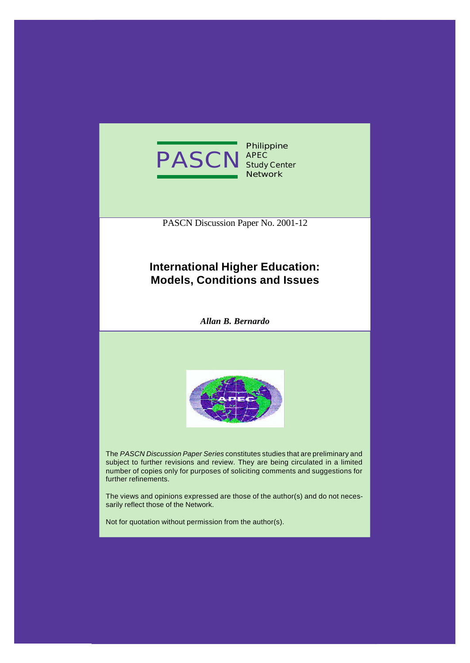

**Philippine APEC Study Center Network**

PASCN Discussion Paper No. 2001-12

# **International Higher Education: Models, Conditions and Issues**

*Allan B. Bernardo*



The *PASCN Discussion Paper Series* constitutes studies that are preliminary and subject to further revisions and review. They are being circulated in a limited number of copies only for purposes of soliciting comments and suggestions for further refinements.

The views and opinions expressed are those of the author(s) and do not necessarily reflect those of the Network.

Not for quotation without permission from the author(s).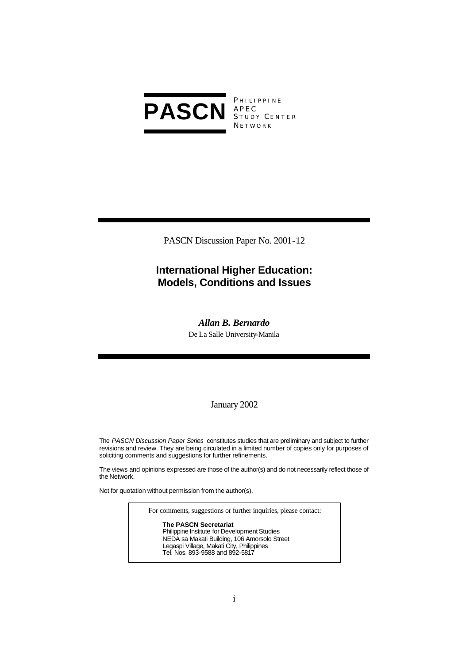

**PHILIPPINE** S TUDY C ENTER **NETWORK** 

PASCN Discussion Paper No. 2001-12

# **International Higher Education: Models, Conditions and Issues**

# *Allan B. Bernardo*

De La Salle University-Manila

# January 2002

The *PASCN Discussion Paper Series* constitutes studies that are preliminary and subject to further revisions and review. They are being circulated in a limited number of copies only for purposes of soliciting comments and suggestions for further refinements.

The views and opinions expressed are those of the author(s) and do not necessarily reflect those of the Network.

Not for quotation without permission from the author(s).

For comments, suggestions or further inquiries, please contact:

**The PASCN Secretariat** Philippine Institute for Development Studies NEDA sa Makati Building, 106 Amorsolo Street Legaspi Village, Makati City, Philippines Tel. Nos. 893-9588 and 892-5817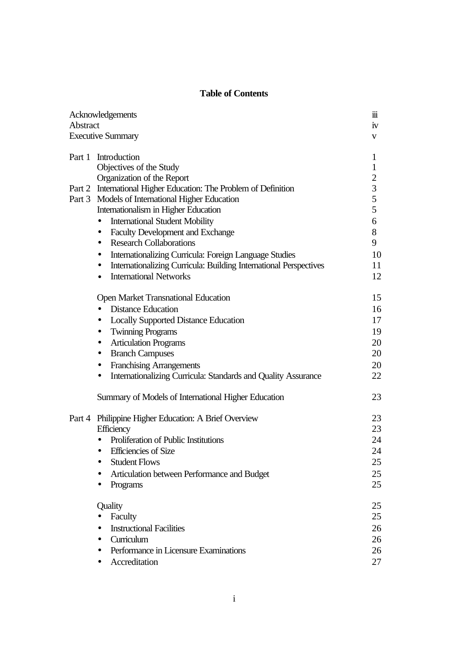# **Table of Contents**

| Acknowledgements<br>Abstract |                                                                                | 111<br>iv      |
|------------------------------|--------------------------------------------------------------------------------|----------------|
|                              |                                                                                |                |
|                              | Part 1 Introduction                                                            | 1              |
|                              | Objectives of the Study                                                        | $\mathbf{1}$   |
|                              | Organization of the Report                                                     | $\overline{2}$ |
|                              | Part 2 International Higher Education: The Problem of Definition               | 3              |
|                              | Part 3 Models of International Higher Education                                | 5              |
|                              | Internationalism in Higher Education                                           | 5              |
|                              | <b>International Student Mobility</b><br>$\bullet$                             | 6              |
|                              | <b>Faculty Development and Exchange</b><br>$\bullet$                           | 8              |
|                              | <b>Research Collaborations</b><br>$\bullet$                                    | 9              |
|                              | Internationalizing Curricula: Foreign Language Studies<br>$\bullet$            | 10             |
|                              | Internationalizing Curricula: Building International Perspectives<br>$\bullet$ | 11             |
|                              | <b>International Networks</b><br>$\bullet$                                     | 12             |
|                              | <b>Open Market Transnational Education</b>                                     | 15             |
|                              | <b>Distance Education</b>                                                      | 16             |
|                              | <b>Locally Supported Distance Education</b><br>$\bullet$                       | 17             |
|                              | <b>Twinning Programs</b><br>$\bullet$                                          | 19             |
|                              | <b>Articulation Programs</b><br>$\bullet$                                      | 20             |
|                              | <b>Branch Campuses</b><br>$\bullet$                                            | 20             |
|                              | <b>Franchising Arrangements</b><br>$\bullet$                                   | 20             |
|                              | Internationalizing Curricula: Standards and Quality Assurance<br>$\bullet$     | 22             |
|                              | Summary of Models of International Higher Education                            | 23             |
| Part 4                       | Philippine Higher Education: A Brief Overview                                  | 23             |
|                              | Efficiency                                                                     | 23             |
|                              | Proliferation of Public Institutions<br>$\bullet$                              | 24             |
|                              | <b>Efficiencies</b> of Size                                                    | 24             |
|                              | <b>Student Flows</b>                                                           | 25             |
|                              | Articulation between Performance and Budget                                    | 25             |
|                              | Programs                                                                       | 25             |
|                              | Quality                                                                        | 25             |
|                              | Faculty                                                                        | 25             |
|                              | <b>Instructional Facilities</b>                                                | 26             |
|                              | Curriculum<br>$\bullet$                                                        | 26             |
|                              | Performance in Licensure Examinations                                          | 26             |
|                              | Accreditation                                                                  | 27             |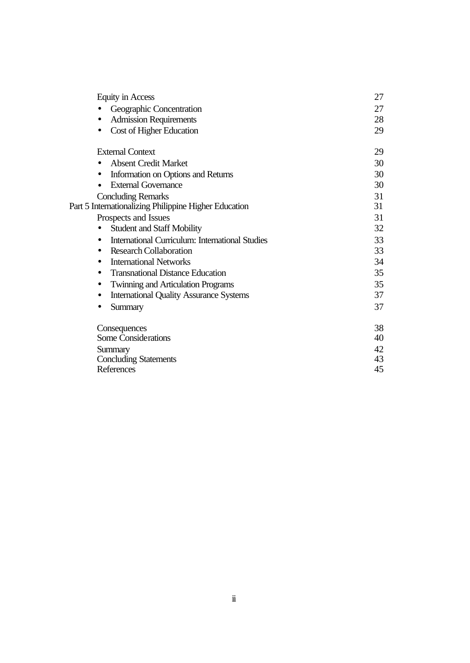| <b>Equity in Access</b>                                     | 27 |
|-------------------------------------------------------------|----|
| Geographic Concentration                                    | 27 |
| <b>Admission Requirements</b>                               | 28 |
| Cost of Higher Education                                    | 29 |
| <b>External Context</b>                                     | 29 |
| <b>Absent Credit Market</b>                                 | 30 |
| Information on Options and Returns                          | 30 |
| <b>External Governance</b>                                  | 30 |
| <b>Concluding Remarks</b>                                   | 31 |
| Part 5 Internationalizing Philippine Higher Education       | 31 |
| Prospects and Issues                                        | 31 |
| <b>Student and Staff Mobility</b>                           | 32 |
| <b>International Curriculum: International Studies</b>      | 33 |
| <b>Research Collaboration</b><br>$\bullet$                  | 33 |
| <b>International Networks</b><br>$\bullet$                  | 34 |
| <b>Transnational Distance Education</b><br>$\bullet$        | 35 |
| <b>Twinning and Articulation Programs</b><br>$\bullet$      | 35 |
| <b>International Quality Assurance Systems</b><br>$\bullet$ | 37 |
| Summary<br>$\bullet$                                        | 37 |
| Consequences                                                | 38 |
| <b>Some Considerations</b>                                  | 40 |
| Summary                                                     | 42 |
| <b>Concluding Statements</b>                                | 43 |
| References                                                  | 45 |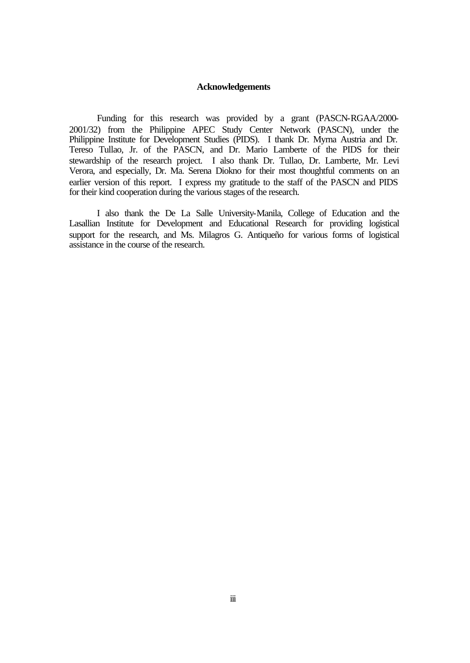### **Acknowledgements**

Funding for this research was provided by a grant (PASCN-RGAA/2000- 2001/32) from the Philippine APEC Study Center Network (PASCN), under the Philippine Institute for Development Studies (PIDS). I thank Dr. Myrna Austria and Dr. Tereso Tullao, Jr. of the PASCN, and Dr. Mario Lamberte of the PIDS for their stewardship of the research project. I also thank Dr. Tullao, Dr. Lamberte, Mr. Levi Verora, and especially, Dr. Ma. Serena Diokno for their most thoughtful comments on an earlier version of this report. I express my gratitude to the staff of the PASCN and PIDS for their kind cooperation during the various stages of the research.

I also thank the De La Salle University-Manila, College of Education and the Lasallian Institute for Development and Educational Research for providing logistical support for the research, and Ms. Milagros G. Antiqueño for various forms of logistical assistance in the course of the research.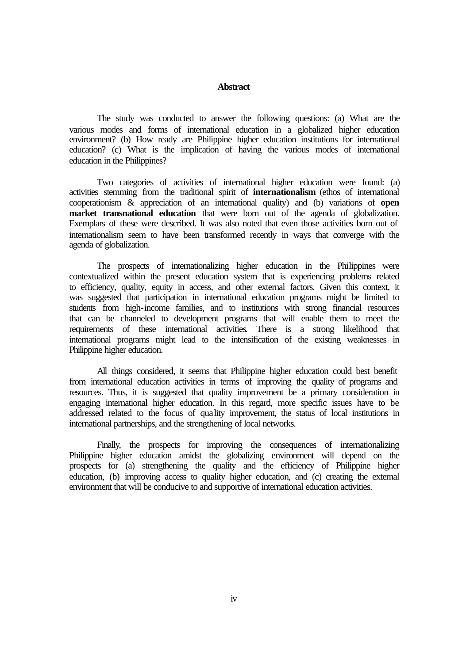### **Abstract**

The study was conducted to answer the following questions: (a) What are the various modes and forms of international education in a globalized higher education environment? (b) How ready are Philippine higher education institutions for international education? (c) What is the implication of having the various modes of international education in the Philippines?

Two categories of activities of international higher education were found: (a) activities stemming from the traditional spirit of **internationalism** (ethos of international cooperationism & appreciation of an international quality) and (b) variations of **open market transnational education** that were born out of the agenda of globalization. Exemplars of these were described. It was also noted that even those activities born out of internationalism seem to have been transformed recently in ways that converge with the agenda of globalization.

The prospects of internationalizing higher education in the Philippines were contextualized within the present education system that is experiencing problems related to efficiency, quality, equity in access, and other external factors. Given this context, it was suggested that participation in international education programs might be limited to students from high-income families, and to institutions with strong financial resources that can be channeled to development programs that will enable them to meet the requirements of these international activities. There is a strong likelihood that international programs might lead to the intensification of the existing weaknesses in Philippine higher education.

All things considered, it seems that Philippine higher education could best benefit from international education activities in terms of improving the quality of programs and resources. Thus, it is suggested that quality improvement be a primary consideration in engaging international higher education. In this regard, more specific issues have to be addressed related to the focus of quality improvement, the status of local institutions in international partnerships, and the strengthening of local networks.

Finally, the prospects for improving the consequences of internationalizing Philippine higher education amidst the globalizing environment will depend on the prospects for (a) strengthening the quality and the efficiency of Philippine higher education, (b) improving access to quality higher education, and (c) creating the external environment that will be conducive to and supportive of international education activities.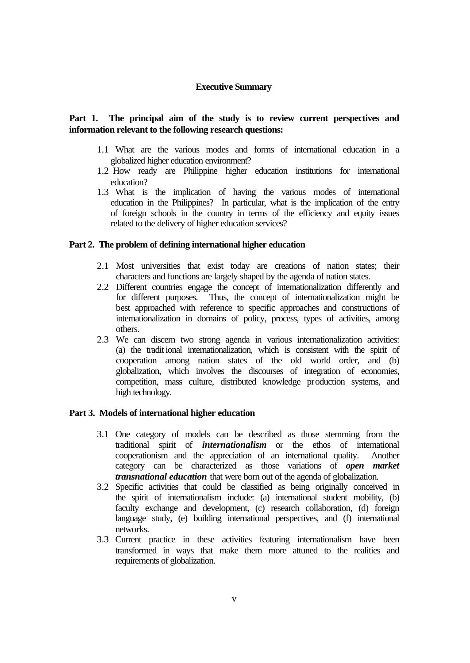### **Executive Summary**

# **Part 1. The principal aim of the study is to review current perspectives and information relevant to the following research questions:**

- 1.1 What are the various modes and forms of international education in a globalized higher education environment?
- 1.2 How ready are Philippine higher education institutions for international education?
- 1.3 What is the implication of having the various modes of international education in the Philippines? In particular, what is the implication of the entry of foreign schools in the country in terms of the efficiency and equity issues related to the delivery of higher education services?

### **Part 2. The problem of defining international higher education**

- 2.1 Most universities that exist today are creations of nation states; their characters and functions are largely shaped by the agenda of nation states.
- 2.2 Different countries engage the concept of internationalization differently and for different purposes. Thus, the concept of internationalization might be best approached with reference to specific approaches and constructions of internationalization in domains of policy, process, types of activities, among others.
- 2.3 We can discern two strong agenda in various internationalization activities: (a) the tradit ional internationalization, which is consistent with the spirit of cooperation among nation states of the old world order, and (b) globalization, which involves the discourses of integration of economies, competition, mass culture, distributed knowledge production systems, and high technology.

### **Part 3. Models of international higher education**

- 3.1 One category of models can be described as those stemming from the traditional spirit of *internationalism* or the ethos of international cooperationism and the appreciation of an international quality. Another category can be characterized as those variations of *open market transnational education* that were born out of the agenda of globalization.
- 3.2 Specific activities that could be classified as being originally conceived in the spirit of internationalism include: (a) international student mobility, (b) faculty exchange and development, (c) research collaboration, (d) foreign language study, (e) building international perspectives, and (f) international networks.
- 3.3 Current practice in these activities featuring internationalism have been transformed in ways that make them more attuned to the realities and requirements of globalization.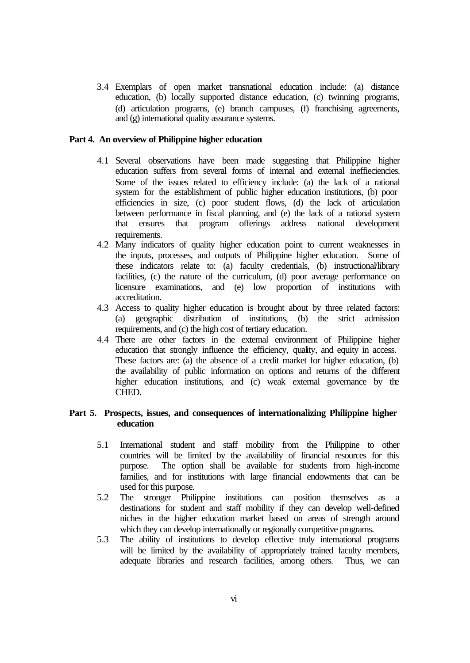3.4 Exemplars of open market transnational education include: (a) distance education, (b) locally supported distance education, (c) twinning programs, (d) articulation programs, (e) branch campuses, (f) franchising agreements, and (g) international quality assurance systems.

### **Part 4. An overview of Philippine higher education**

- 4.1 Several observations have been made suggesting that Philippine higher education suffers from several forms of internal and external ineffieciencies. Some of the issues related to efficiency include: (a) the lack of a rational system for the establishment of public higher education institutions, (b) poor efficiencies in size, (c) poor student flows, (d) the lack of articulation between performance in fiscal planning, and (e) the lack of a rational system that ensures that program offerings address national development requirements.
- 4.2 Many indicators of quality higher education point to current weaknesses in the inputs, processes, and outputs of Philippine higher education. Some of these indicators relate to: (a) faculty credentials, (b) instructional/library facilities, (c) the nature of the curriculum, (d) poor average performance on licensure examinations, and (e) low proportion of institutions with accreditation.
- 4.3 Access to quality higher education is brought about by three related factors: (a) geographic distribution of institutions, (b) the strict admission requirements, and (c) the high cost of tertiary education.
- 4.4 There are other factors in the external environment of Philippine higher education that strongly influence the efficiency, quality, and equity in access. These factors are: (a) the absence of a credit market for higher education, (b) the availability of public information on options and returns of the different higher education institutions, and (c) weak external governance by the CHED.

## **Part 5. Prospects, issues, and consequences of internationalizing Philippine higher education**

- 5.1 International student and staff mobility from the Philippine to other countries will be limited by the availability of financial resources for this purpose. The option shall be available for students from high-income families, and for institutions with large financial endowments that can be used for this purpose.
- 5.2 The stronger Philippine institutions can position themselves as a destinations for student and staff mobility if they can develop well-defined niches in the higher education market based on areas of strength around which they can develop internationally or regionally competitive programs.
- 5.3 The ability of institutions to develop effective truly international programs will be limited by the availability of appropriately trained faculty members, adequate libraries and research facilities, among others. Thus, we can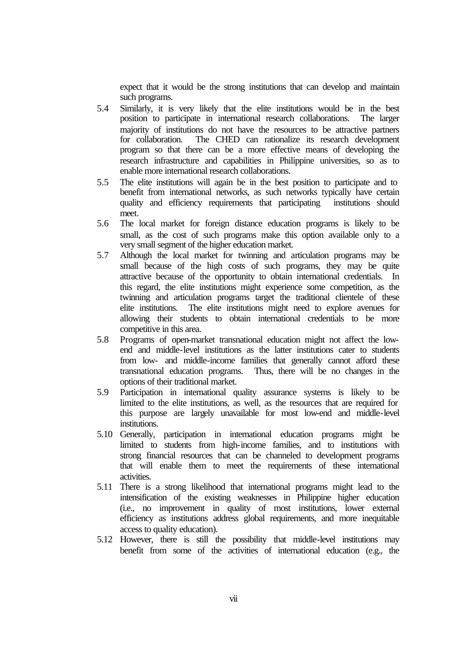expect that it would be the strong institutions that can develop and maintain such programs.

- 5.4 Similarly, it is very likely that the elite institutions would be in the best position to participate in international research collaborations. The larger majority of institutions do not have the resources to be attractive partners for collaboration. The CHED can rationalize its research development program so that there can be a more effective means of developing the research infrastructure and capabilities in Philippine universities, so as to enable more international research collaborations.
- 5.5 The elite institutions will again be in the best position to participate and to benefit from international networks, as such networks typically have certain quality and efficiency requirements that participating institutions should meet.
- 5.6 The local market for foreign distance education programs is likely to be small, as the cost of such programs make this option available only to a very small segment of the higher education market.
- 5.7 Although the local market for twinning and articulation programs may be small because of the high costs of such programs, they may be quite attractive because of the opportunity to obtain international credentials. In this regard, the elite institutions might experience some competition, as the twinning and articulation programs target the traditional clientele of these elite institutions. The elite institutions might need to explore avenues for allowing their students to obtain international credentials to be more competitive in this area.
- 5.8 Programs of open-market transnational education might not affect the lowend and middle-level institutions as the latter institutions cater to students from low- and middle-income families that generally cannot afford these transnational education programs. Thus, there will be no changes in the options of their traditional market.
- 5.9 Participation in international quality assurance systems is likely to be limited to the elite institutions, as well, as the resources that are required for this purpose are largely unavailable for most low-end and middle-level institutions.
- 5.10 Generally, participation in international education programs might be limited to students from high-income families, and to institutions with strong financial resources that can be channeled to development programs that will enable them to meet the requirements of these international activities.
- 5.11 There is a strong likelihood that international programs might lead to the intensification of the existing weaknesses in Philippine higher education (i.e., no improvement in quality of most institutions, lower external efficiency as institutions address global requirements, and more inequitable access to quality education).
- 5.12 However, there is still the possibility that middle-level institutions may benefit from some of the activities of international education (e.g., the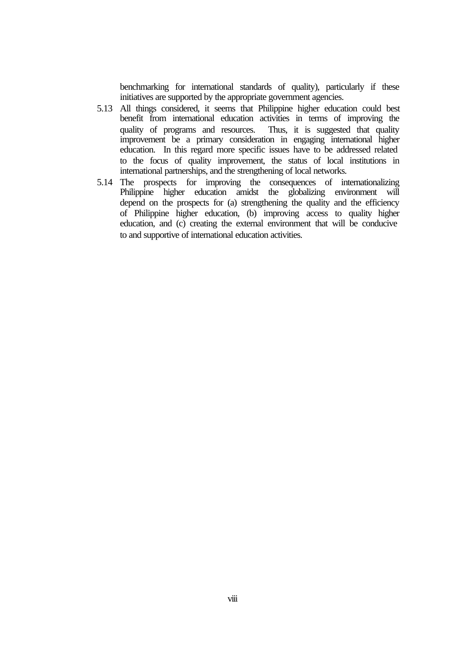benchmarking for international standards of quality), particularly if these initiatives are supported by the appropriate government agencies.

- 5.13 All things considered, it seems that Philippine higher education could best benefit from international education activities in terms of improving the quality of programs and resources. Thus, it is suggested that quality improvement be a primary consideration in engaging international higher education. In this regard more specific issues have to be addressed related to the focus of quality improvement, the status of local institutions in international partnerships, and the strengthening of local networks.
- 5.14 The prospects for improving the consequences of internationalizing Philippine higher education amidst the globalizing environment will depend on the prospects for (a) strengthening the quality and the efficiency of Philippine higher education, (b) improving access to quality higher education, and (c) creating the external environment that will be conducive to and supportive of international education activities.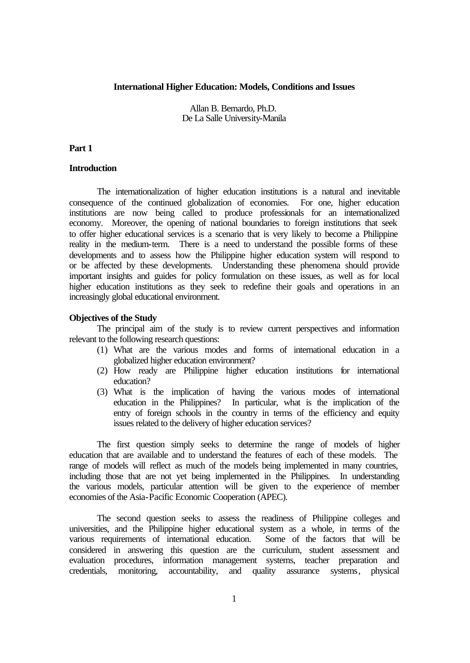### **International Higher Education: Models, Conditions and Issues**

Allan B. Bernardo, Ph.D. De La Salle University-Manila

### **Part 1**

## **Introduction**

The internationalization of higher education institutions is a natural and inevitable consequence of the continued globalization of economies. For one, higher education institutions are now being called to produce professionals for an internationalized economy. Moreover, the opening of national boundaries to foreign institutions that seek to offer higher educational services is a scenario that is very likely to become a Philippine reality in the medium-term. There is a need to understand the possible forms of these developments and to assess how the Philippine higher education system will respond to or be affected by these developments. Understanding these phenomena should provide important insights and guides for policy formulation on these issues, as well as for local higher education institutions as they seek to redefine their goals and operations in an increasingly global educational environment.

#### **Objectives of the Study**

The principal aim of the study is to review current perspectives and information relevant to the following research questions:

- (1) What are the various modes and forms of international education in a globalized higher education environment?
- (2) How ready are Philippine higher education institutions for international education?
- (3) What is the implication of having the various modes of international education in the Philippines? In particular, what is the implication of the entry of foreign schools in the country in terms of the efficiency and equity issues related to the delivery of higher education services?

The first question simply seeks to determine the range of models of higher education that are available and to understand the features of each of these models. The range of models will reflect as much of the models being implemented in many countries, including those that are not yet being implemented in the Philippines. In understanding the various models, particular attention will be given to the experience of member economies of the Asia-Pacific Economic Cooperation (APEC).

The second question seeks to assess the readiness of Philippine colleges and universities, and the Philippine higher educational system as a whole, in terms of the various requirements of international education. Some of the factors that will be considered in answering this question are the curriculum, student assessment and evaluation procedures, information management systems, teacher preparation and credentials, monitoring, accountability, and quality assurance systems, physical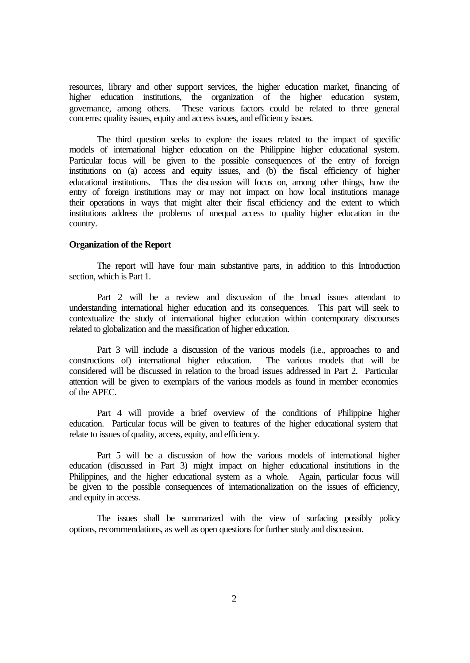resources, library and other support services, the higher education market, financing of higher education institutions, the organization of the higher education system, governance, among others. These various factors could be related to three general concerns: quality issues, equity and access issues, and efficiency issues.

The third question seeks to explore the issues related to the impact of specific models of international higher education on the Philippine higher educational system. Particular focus will be given to the possible consequences of the entry of foreign institutions on (a) access and equity issues, and (b) the fiscal efficiency of higher educational institutions. Thus the discussion will focus on, among other things, how the entry of foreign institutions may or may not impact on how local institutions manage their operations in ways that might alter their fiscal efficiency and the extent to which institutions address the problems of unequal access to quality higher education in the country.

### **Organization of the Report**

The report will have four main substantive parts, in addition to this Introduction section, which is Part 1.

Part 2 will be a review and discussion of the broad issues attendant to understanding international higher education and its consequences. This part will seek to contextualize the study of international higher education within contemporary discourses related to globalization and the massification of higher education.

Part 3 will include a discussion of the various models (i.e., approaches to and constructions of) international higher education. The various models that will be considered will be discussed in relation to the broad issues addressed in Part 2. Particular attention will be given to exemplars of the various models as found in member economies of the APEC.

Part 4 will provide a brief overview of the conditions of Philippine higher education. Particular focus will be given to features of the higher educational system that relate to issues of quality, access, equity, and efficiency.

Part 5 will be a discussion of how the various models of international higher education (discussed in Part 3) might impact on higher educational institutions in the Philippines, and the higher educational system as a whole. Again, particular focus will be given to the possible consequences of internationalization on the issues of efficiency, and equity in access.

The issues shall be summarized with the view of surfacing possibly policy options, recommendations, as well as open questions for further study and discussion.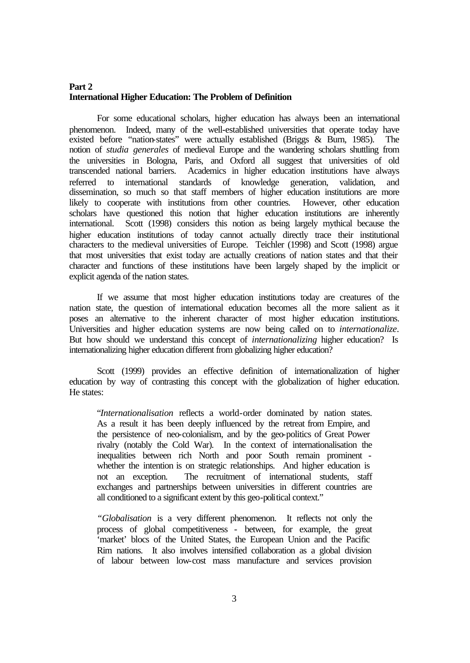# **Part 2 International Higher Education: The Problem of Definition**

For some educational scholars, higher education has always been an international phenomenon. Indeed, many of the well-established universities that operate today have existed before "nation-states" were actually established (Briggs & Burn, 1985). The notion of *studia generales* of medieval Europe and the wandering scholars shuttling from the universities in Bologna, Paris, and Oxford all suggest that universities of old transcended national barriers. Academics in higher education institutions have always referred to international standards of knowledge generation, validation, and dissemination, so much so that staff members of higher education institutions are more likely to cooperate with institutions from other countries. However, other education scholars have questioned this notion that higher education institutions are inherently international. Scott (1998) considers this notion as being largely mythical because the higher education institutions of today cannot actually directly trace their institutional characters to the medieval universities of Europe. Teichler (1998) and Scott (1998) argue that most universities that exist today are actually creations of nation states and that their character and functions of these institutions have been largely shaped by the implicit or explicit agenda of the nation states.

If we assume that most higher education institutions today are creatures of the nation state, the question of international education becomes all the more salient as it poses an alternative to the inherent character of most higher education institutions. Universities and higher education systems are now being called on to *internationalize*. But how should we understand this concept of *internationalizing* higher education? Is internationalizing higher education different from globalizing higher education?

Scott (1999) provides an effective definition of internationalization of higher education by way of contrasting this concept with the globalization of higher education. He states:

"*Internationalisation* reflects a world-order dominated by nation states. As a result it has been deeply influenced by the retreat from Empire, and the persistence of neo-colonialism, and by the geo-politics of Great Power rivalry (notably the Cold War). In the context of internationalisation the inequalities between rich North and poor South remain prominent whether the intention is on strategic relationships. And higher education is not an exception. The recruitment of international students, staff exchanges and partnerships between universities in different countries are all conditioned to a significant extent by this geo-political context."

*"Globalisation* is a very different phenomenon. It reflects not only the process of global competitiveness - between, for example, the great 'market' blocs of the United States, the European Union and the Pacific Rim nations. It also involves intensified collaboration as a global division of labour between low-cost mass manufacture and services provision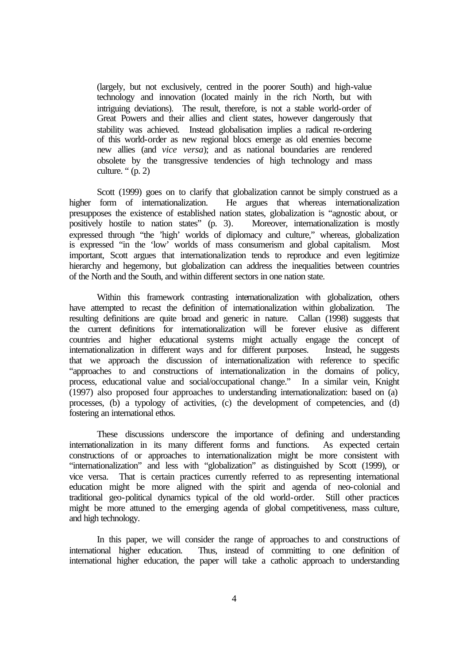(largely, but not exclusively, centred in the poorer South) and high-value technology and innovation (located mainly in the rich North, but with intriguing deviations). The result, therefore, is not a stable world-order of Great Powers and their allies and client states, however dangerously that stability was achieved. Instead globalisation implies a radical re-ordering of this world-order as new regional blocs emerge as old enemies become new allies (and *vice versa*); and as national boundaries are rendered obsolete by the transgressive tendencies of high technology and mass culture. " $(p, 2)$ 

Scott (1999) goes on to clarify that globalization cannot be simply construed as a higher form of internationalization. He argues that whereas internationalization presupposes the existence of established nation states, globalization is "agnostic about, or positively hostile to nation states" (p. 3). Moreover, internationalization is mostly expressed through "the 'high' worlds of diplomacy and culture," whereas, globalization is expressed "in the 'low' worlds of mass consumerism and global capitalism. Most important, Scott argues that internationalization tends to reproduce and even legitimize hierarchy and hegemony, but globalization can address the inequalities between countries of the North and the South, and within different sectors in one nation state.

Within this framework contrasting internationalization with globalization, others have attempted to recast the definition of internationalization within globalization. The resulting definitions are quite broad and generic in nature. Callan (1998) suggests that the current definitions for internationalization will be forever elusive as different countries and higher educational systems might actually engage the concept of internationalization in different ways and for different purposes. Instead, he suggests that we approach the discussion of internationalization with reference to specific "approaches to and constructions of internationalization in the domains of policy, process, educational value and social/occupational change." In a similar vein, Knight (1997) also proposed four approaches to understanding internationalization: based on (a) processes, (b) a typology of activities, (c) the development of competencies, and (d) fostering an international ethos.

These discussions underscore the importance of defining and understanding internationalization in its many different forms and functions. As expected certain constructions of or approaches to internationalization might be more consistent with "internationalization" and less with "globalization" as distinguished by Scott (1999), or vice versa. That is certain practices currently referred to as representing international education might be more aligned with the spirit and agenda of neo-colonial and traditional geo-political dynamics typical of the old world-order. Still other practices might be more attuned to the emerging agenda of global competitiveness, mass culture, and high technology.

In this paper, we will consider the range of approaches to and constructions of international higher education. Thus, instead of committing to one definition of international higher education, the paper will take a catholic approach to understanding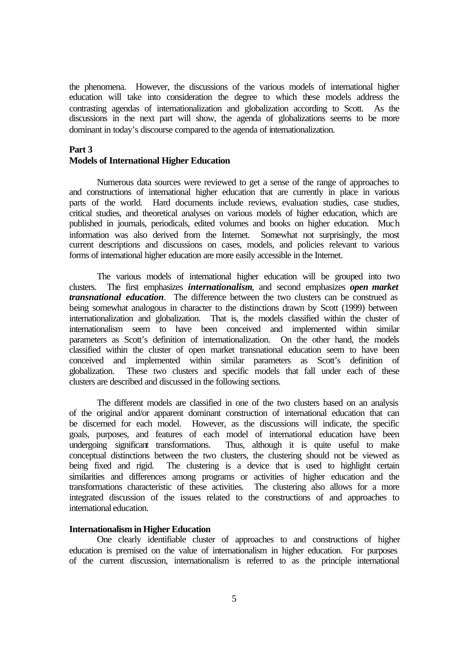the phenomena. However, the discussions of the various models of international higher education will take into consideration the degree to which these models address the contrasting agendas of internationalization and globalization according to Scott. As the discussions in the next part will show, the agenda of globalizations seems to be more dominant in today's discourse compared to the agenda of internationalization.

### **Part 3**

### **Models of International Higher Education**

Numerous data sources were reviewed to get a sense of the range of approaches to and constructions of international higher education that are currently in place in various parts of the world. Hard documents include reviews, evaluation studies, case studies, critical studies, and theoretical analyses on various models of higher education, which are published in journals, periodicals, edited volumes and books on higher education. Much information was also derived from the Internet. Somewhat not surprisingly, the most current descriptions and discussions on cases, models, and policies relevant to various forms of international higher education are more easily accessible in the Internet.

The various models of international higher education will be grouped into two clusters. The first emphasizes *internationalism*, and second emphasizes *open market transnational education*. The difference between the two clusters can be construed as being somewhat analogous in character to the distinctions drawn by Scott (1999) between internationalization and globalization. That is, the models classified within the cluster of internationalism seem to have been conceived and implemented within similar parameters as Scott's definition of internationalization. On the other hand, the models classified within the cluster of open market transnational education seem to have been conceived and implemented within similar parameters as Scott's definition of globalization. These two clusters and specific models that fall under each of these clusters are described and discussed in the following sections.

The different models are classified in one of the two clusters based on an analysis of the original and/or apparent dominant construction of international education that can be discerned for each model. However, as the discussions will indicate, the specific goals, purposes, and features of each model of international education have been undergoing significant transformations. Thus, although it is quite useful to make conceptual distinctions between the two clusters, the clustering should not be viewed as being fixed and rigid. The clustering is a device that is used to highlight certain similarities and differences among programs or activities of higher education and the transformations characteristic of these activities. The clustering also allows for a more integrated discussion of the issues related to the constructions of and approaches to international education.

## **Internationalism in Higher Education**

One clearly identifiable cluster of approaches to and constructions of higher education is premised on the value of internationalism in higher education. For purposes of the current discussion, internationalism is referred to as the principle international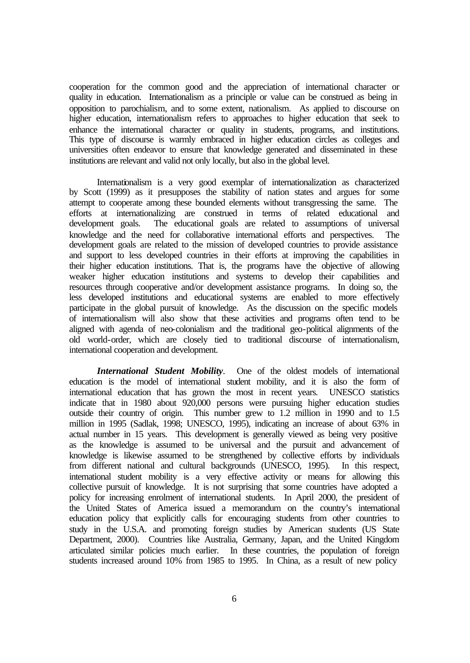cooperation for the common good and the appreciation of international character or quality in education. Internationalism as a principle or value can be construed as being in opposition to parochialism, and to some extent, nationalism. As applied to discourse on higher education, internationalism refers to approaches to higher education that seek to enhance the international character or quality in students, programs, and institutions. This type of discourse is warmly embraced in higher education circles as colleges and universities often endeavor to ensure that knowledge generated and disseminated in these institutions are relevant and valid not only locally, but also in the global level.

Internationalism is a very good exemplar of internationalization as characterized by Scott (1999) as it presupposes the stability of nation states and argues for some attempt to cooperate among these bounded elements without transgressing the same. The efforts at internationalizing are construed in terms of related educational and development goals. The educational goals are related to assumptions of universal knowledge and the need for collaborative international efforts and perspectives. The development goals are related to the mission of developed countries to provide assistance and support to less developed countries in their efforts at improving the capabilities in their higher education institutions. That is, the programs have the objective of allowing weaker higher education institutions and systems to develop their capabilities and resources through cooperative and/or development assistance programs. In doing so, the less developed institutions and educational systems are enabled to more effectively participate in the global pursuit of knowledge. As the discussion on the specific models of internationalism will also show that these activities and programs often tend to be aligned with agenda of neo-colonialism and the traditional geo-political alignments of the old world-order, which are closely tied to traditional discourse of internationalism, international cooperation and development.

*International Student Mobility*. One of the oldest models of international education is the model of international student mobility, and it is also the form of international education that has grown the most in recent years. UNESCO statistics indicate that in 1980 about 920,000 persons were pursuing higher education studies outside their country of origin. This number grew to 1.2 million in 1990 and to 1.5 million in 1995 (Sadlak, 1998; UNESCO, 1995), indicating an increase of about 63% in actual number in 15 years. This development is generally viewed as being very positive as the knowledge is assumed to be universal and the pursuit and advancement of knowledge is likewise assumed to be strengthened by collective efforts by individuals from different national and cultural backgrounds (UNESCO, 1995). In this respect, international student mobility is a very effective activity or means for allowing this collective pursuit of knowledge. It is not surprising that some countries have adopted a policy for increasing enrolment of international students. In April 2000, the president of the United States of America issued a memorandum on the country's international education policy that explicitly calls for encouraging students from other countries to study in the U.S.A. and promoting foreign studies by American students (US State Department, 2000). Countries like Australia, Germany, Japan, and the United Kingdom articulated similar policies much earlier. In these countries, the population of foreign students increased around 10% from 1985 to 1995. In China, as a result of new policy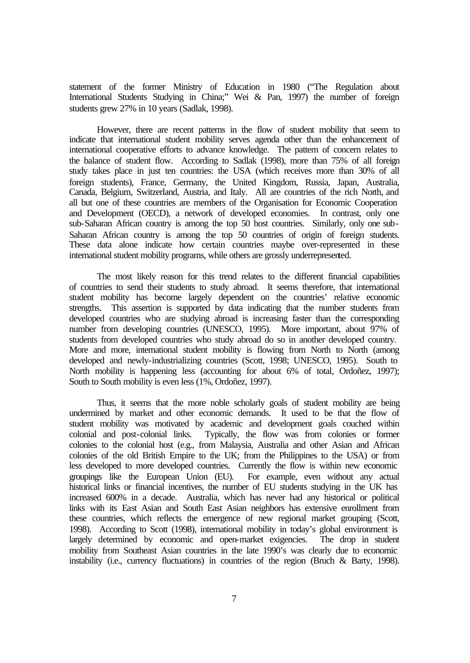statement of the former Ministry of Education in 1980 ("The Regulation about International Students Studying in China;" Wei & Pan, 1997) the number of foreign students grew 27% in 10 years (Sadlak, 1998).

However, there are recent patterns in the flow of student mobility that seem to indicate that international student mobility serves agenda other than the enhancement of international cooperative efforts to advance knowledge. The pattern of concern relates to the balance of student flow. According to Sadlak (1998), more than 75% of all foreign study takes place in just ten countries: the USA (which receives more than 30% of all foreign students), France, Germany, the United Kingdom, Russia, Japan, Australia, Canada, Belgium, Switzerland, Austria, and Italy. All are countries of the rich North, and all but one of these countries are members of the Organisation for Economic Cooperation and Development (OECD), a network of developed economies. In contrast, only one sub-Saharan African country is among the top 50 host countries. Similarly, only one sub-Saharan African country is among the top 50 countries of origin of foreign students. These data alone indicate how certain countries maybe over-represented in these international student mobility programs, while others are grossly underrepresented.

The most likely reason for this trend relates to the different financial capabilities of countries to send their students to study abroad. It seems therefore, that international student mobility has become largely dependent on the countries' relative economic strengths. This assertion is supported by data indicating that the number students from developed countries who are studying abroad is increasing faster than the corresponding number from developing countries (UNESCO, 1995). More important, about 97% of students from developed countries who study abroad do so in another developed country. More and more, international student mobility is flowing from North to North (among developed and newly-industrializing countries (Scott, 1998; UNESCO, 1995). South to North mobility is happening less (accounting for about 6% of total, Ordoñez, 1997); South to South mobility is even less (1%, Ordoñez, 1997).

Thus, it seems that the more noble scholarly goals of student mobility are being undermined by market and other economic demands. It used to be that the flow of student mobility was motivated by academic and development goals couched within colonial and post-colonial links. Typically, the flow was from colonies or former colonies to the colonial host (e.g., from Malaysia, Australia and other Asian and African colonies of the old British Empire to the UK; from the Philippines to the USA) or from less developed to more developed countries. Currently the flow is within new economic groupings like the European Union (EU). For example, even without any actual historical links or financial incentives, the number of EU students studying in the UK has increased 600% in a decade. Australia, which has never had any historical or political links with its East Asian and South East Asian neighbors has extensive enrollment from these countries, which reflects the emergence of new regional market grouping (Scott, 1998). According to Scott (1998), international mobility in today's global environment is largely determined by economic and open-market exigencies. The drop in student mobility from Southeast Asian countries in the late 1990's was clearly due to economic instability (i.e., currency fluctuations) in countries of the region (Bruch & Barty, 1998).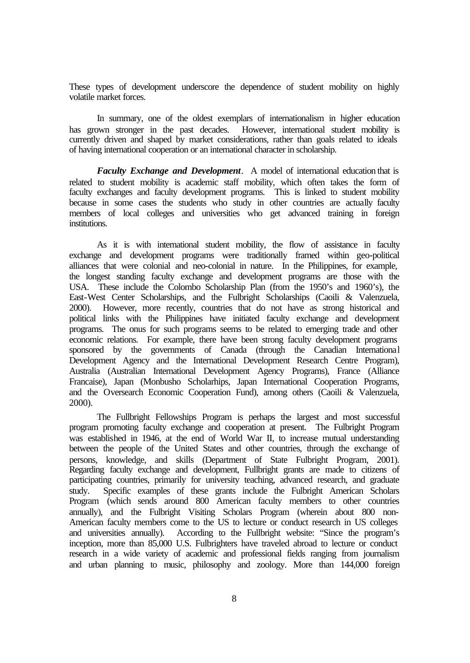These types of development underscore the dependence of student mobility on highly volatile market forces.

In summary, one of the oldest exemplars of internationalism in higher education has grown stronger in the past decades. However, international student mobility is currently driven and shaped by market considerations, rather than goals related to ideals of having international cooperation or an international character in scholarship.

*Faculty Exchange and Development*. A model of international education that is related to student mobility is academic staff mobility, which often takes the form of faculty exchanges and faculty development programs. This is linked to student mobility because in some cases the students who study in other countries are actually faculty members of local colleges and universities who get advanced training in foreign institutions.

As it is with international student mobility, the flow of assistance in faculty exchange and development programs were traditionally framed within geo-political alliances that were colonial and neo-colonial in nature. In the Philippines, for example, the longest standing faculty exchange and development programs are those with the USA. These include the Colombo Scholarship Plan (from the 1950's and 1960's), the East-West Center Scholarships, and the Fulbright Scholarships (Caoili & Valenzuela, 2000). However, more recently, countries that do not have as strong historical and political links with the Philippines have initiated faculty exchange and development programs. The onus for such programs seems to be related to emerging trade and other economic relations. For example, there have been strong faculty development programs sponsored by the governments of Canada (through the Canadian International Development Agency and the International Development Research Centre Program), Australia (Australian International Development Agency Programs), France (Alliance Francaise), Japan (Monbusho Scholarhips, Japan International Cooperation Programs, and the Oversearch Economic Cooperation Fund), among others (Caoili & Valenzuela, 2000).

The Fullbright Fellowships Program is perhaps the largest and most successful program promoting faculty exchange and cooperation at present. The Fulbright Program was established in 1946, at the end of World War II, to increase mutual understanding between the people of the United States and other countries, through the exchange of persons, knowledge, and skills (Department of State Fulbright Program, 2001). Regarding faculty exchange and development, Fullbright grants are made to citizens of participating countries, primarily for university teaching, advanced research, and graduate study. Specific examples of these grants include the Fulbright American Scholars Program (which sends around 800 American faculty members to other countries annually), and the Fulbright Visiting Scholars Program (wherein about 800 non-American faculty members come to the US to lecture or conduct research in US colleges and universities annually). According to the Fullbright website: "Since the program's inception, more than 85,000 U.S. Fulbrighters have traveled abroad to lecture or conduct research in a wide variety of academic and professional fields ranging from journalism and urban planning to music, philosophy and zoology. More than 144,000 foreign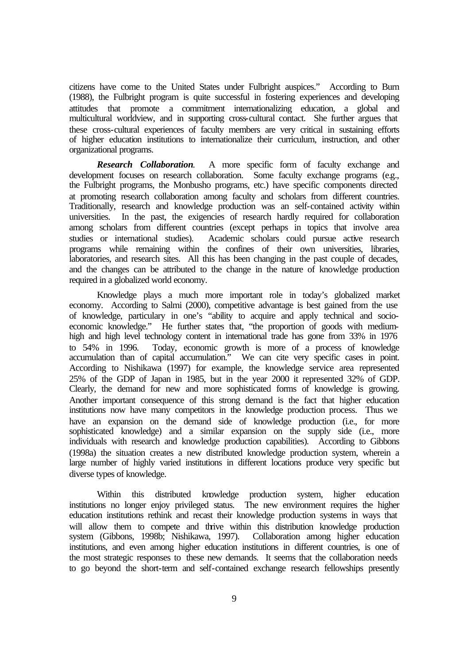citizens have come to the United States under Fulbright auspices." According to Burn (1988), the Fulbright program is quite successful in fostering experiences and developing attitudes that promote a commitment internationalizing education, a global and multicultural worldview, and in supporting cross-cultural contact. She further argues that these cross-cultural experiences of faculty members are very critical in sustaining efforts of higher education institutions to internationalize their curriculum, instruction, and other organizational programs.

*Research Collaboration*. A more specific form of faculty exchange and development focuses on research collaboration. Some faculty exchange programs (e.g., the Fulbright programs, the Monbusho programs, etc.) have specific components directed at promoting research collaboration among faculty and scholars from different countries. Traditionally, research and knowledge production was an self-contained activity within universities. In the past, the exigencies of research hardly required for collaboration among scholars from different countries (except perhaps in topics that involve area studies or international studies). Academic scholars could pursue active research programs while remaining within the confines of their own universities, libraries, laboratories, and research sites. All this has been changing in the past couple of decades, and the changes can be attributed to the change in the nature of knowledge production required in a globalized world economy.

Knowledge plays a much more important role in today's globalized market economy. According to Salmi (2000), competitive advantage is best gained from the use of knowledge, particulary in one's "ability to acquire and apply technical and socioeconomic knowledge." He further states that, "the proportion of goods with mediumhigh and high level technology content in international trade has gone from 33% in 1976 to 54% in 1996. Today, economic growth is more of a process of knowledge accumulation than of capital accumulation." We can cite very specific cases in point. According to Nishikawa (1997) for example, the knowledge service area represented 25% of the GDP of Japan in 1985, but in the year 2000 it represented 32% of GDP. Clearly, the demand for new and more sophisticated forms of knowledge is growing. Another important consequence of this strong demand is the fact that higher education institutions now have many competitors in the knowledge production process. Thus we have an expansion on the demand side of knowledge production (i.e., for more sophisticated knowledge) and a similar expansion on the supply side (i.e., more individuals with research and knowledge production capabilities). According to Gibbons (1998a) the situation creates a new distributed knowledge production system, wherein a large number of highly varied institutions in different locations produce very specific but diverse types of knowledge.

Within this distributed knowledge production system, higher education institutions no longer enjoy privileged status. The new environment requires the higher education institutions rethink and recast their knowledge production systems in ways that will allow them to compete and thrive within this distribution knowledge production system (Gibbons, 1998b; Nishikawa, 1997). Collaboration among higher education institutions, and even among higher education institutions in different countries, is one of the most strategic responses to these new demands. It seems that the collaboration needs to go beyond the short-term and self-contained exchange research fellowships presently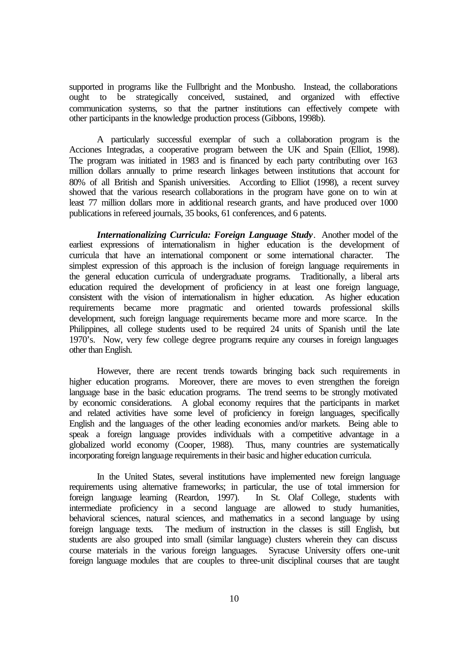supported in programs like the Fullbright and the Monbusho. Instead, the collaborations ought to be strategically conceived, sustained, and organized with effective communication systems, so that the partner institutions can effectively compete with other participants in the knowledge production process (Gibbons, 1998b).

A particularly successful exemplar of such a collaboration program is the Acciones Integradas, a cooperative program between the UK and Spain (Elliot, 1998). The program was initiated in 1983 and is financed by each party contributing over 163 million dollars annually to prime research linkages between institutions that account for 80% of all British and Spanish universities. According to Elliot (1998), a recent survey showed that the various research collaborations in the program have gone on to win at least 77 million dollars more in additional research grants, and have produced over 1000 publications in refereed journals, 35 books, 61 conferences, and 6 patents.

*Internationalizing Curricula: Foreign Language Study*. Another model of the earliest expressions of internationalism in higher education is the development of curricula that have an international component or some international character. The simplest expression of this approach is the inclusion of foreign language requirements in the general education curricula of undergraduate programs. Traditionally, a liberal arts education required the development of proficiency in at least one foreign language, consistent with the vision of internationalism in higher education. As higher education requirements became more pragmatic and oriented towards professional skills development, such foreign language requirements became more and more scarce. In the Philippines, all college students used to be required 24 units of Spanish until the late 1970's. Now, very few college degree programs require any courses in foreign languages other than English.

However, there are recent trends towards bringing back such requirements in higher education programs. Moreover, there are moves to even strengthen the foreign language base in the basic education programs. The trend seems to be strongly motivated by economic considerations. A global economy requires that the participants in market and related activities have some level of proficiency in foreign languages, specifically English and the languages of the other leading economies and/or markets. Being able to speak a foreign language provides individuals with a competitive advantage in a globalized world economy (Cooper, 1988). Thus, many countries are systematically incorporating foreign language requirements in their basic and higher education curricula.

In the United States, several institutions have implemented new foreign language requirements using alternative frameworks; in particular, the use of total immersion for foreign language learning (Reardon, 1997). In St. Olaf College, students with intermediate proficiency in a second language are allowed to study humanities, behavioral sciences, natural sciences, and mathematics in a second language by using foreign language texts. The medium of instruction in the classes is still English, but students are also grouped into small (similar language) clusters wherein they can discuss course materials in the various foreign languages. Syracuse University offers one-unit foreign language modules that are couples to three-unit disciplinal courses that are taught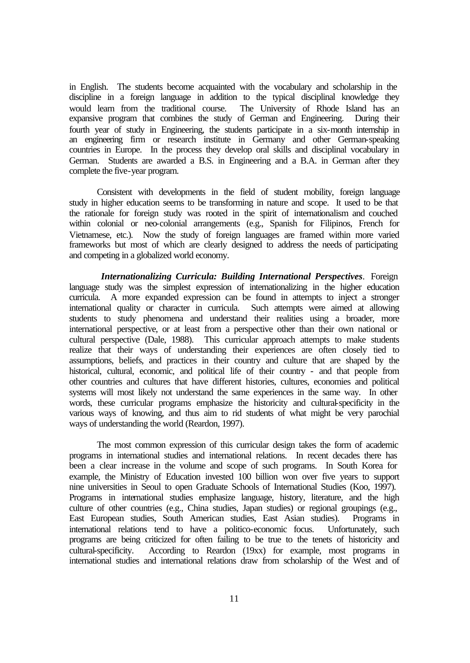in English. The students become acquainted with the vocabulary and scholarship in the discipline in a foreign language in addition to the typical disciplinal knowledge they would learn from the traditional course. The University of Rhode Island has an expansive program that combines the study of German and Engineering. During their fourth year of study in Engineering, the students participate in a six-month internship in an engineering firm or research institute in Germany and other German-speaking countries in Europe. In the process they develop oral skills and disciplinal vocabulary in German. Students are awarded a B.S. in Engineering and a B.A. in German after they complete the five-year program.

Consistent with developments in the field of student mobility, foreign language study in higher education seems to be transforming in nature and scope. It used to be that the rationale for foreign study was rooted in the spirit of internationalism and couched within colonial or neo-colonial arrangements (e.g., Spanish for Filipinos, French for Vietnamese, etc.). Now the study of foreign languages are framed within more varied frameworks but most of which are clearly designed to address the needs of participating and competing in a globalized world economy.

 *Internationalizing Curricula: Building International Perspectives*. Foreign language study was the simplest expression of internationalizing in the higher education curricula. A more expanded expression can be found in attempts to inject a stronger international quality or character in curricula. Such attempts were aimed at allowing students to study phenomena and understand their realities using a broader, more international perspective, or at least from a perspective other than their own national or cultural perspective (Dale, 1988). This curricular approach attempts to make students realize that their ways of understanding their experiences are often closely tied to assumptions, beliefs, and practices in their country and culture that are shaped by the historical, cultural, economic, and political life of their country - and that people from other countries and cultures that have different histories, cultures, economies and political systems will most likely not understand the same experiences in the same way. In other words, these curricular programs emphasize the historicity and cultural-specificity in the various ways of knowing, and thus aim to rid students of what might be very parochial ways of understanding the world (Reardon, 1997).

The most common expression of this curricular design takes the form of academic programs in international studies and international relations. In recent decades there has been a clear increase in the volume and scope of such programs. In South Korea for example, the Ministry of Education invested 100 billion won over five years to support nine universities in Seoul to open Graduate Schools of International Studies (Koo, 1997). Programs in international studies emphasize language, history, literature, and the high culture of other countries (e.g., China studies, Japan studies) or regional groupings (e.g., East European studies, South American studies, East Asian studies). Programs in international relations tend to have a politico-economic focus. Unfortunately, such programs are being criticized for often failing to be true to the tenets of historicity and cultural-specificity. According to Reardon (19xx) for example, most programs in international studies and international relations draw from scholarship of the West and of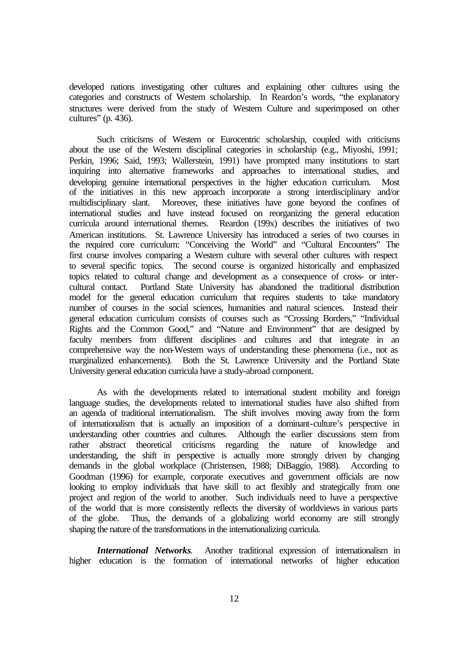developed nations investigating other cultures and explaining other cultures using the categories and constructs of Western scholarship. In Reardon's words, "the explanatory structures were derived from the study of Western Culture and superimposed on other cultures" (p. 436).

Such criticisms of Western or Eurocentric scholarship, coupled with criticisms about the use of the Western disciplinal categories in scholarship (e.g., Miyoshi, 1991; Perkin, 1996; Said, 1993; Wallerstein, 1991) have prompted many institutions to start inquiring into alternative frameworks and approaches to international studies, and developing genuine international perspectives in the higher education curriculum. Most of the initiatives in this new approach incorporate a strong interdisciplinary and/or multidisciplinary slant. Moreover, these initiatives have gone beyond the confines of international studies and have instead focused on reorganizing the general education curricula around international themes. Reardon (199x) describes the initiatives of two American institutions. St. Lawrence University has introduced a series of two courses in the required core curriculum: "Conceiving the World" and "Cultural Encounters" The first course involves comparing a Western culture with several other cultures with respect to several specific topics. The second course is organized historically and emphasized topics related to cultural change and development as a consequence of cross- or intercultural contact. Portland State University has abandoned the traditional distribution model for the general education curriculum that requires students to take mandatory number of courses in the social sciences, humanities and natural sciences. Instead their general education curriculum consists of courses such as "Crossing Borders," "Individual Rights and the Common Good," and "Nature and Environment" that are designed by faculty members from different disciplines and cultures and that integrate in an comprehensive way the non-Western ways of understanding these phenomena (i.e., not as marginalized enhancements). Both the St. Lawrence University and the Portland State University general education curricula have a study-abroad component.

As with the developments related to international student mobility and foreign language studies, the developments related to international studies have also shifted from an agenda of traditional internationalism. The shift involves moving away from the form of internationalism that is actually an imposition of a dominant-culture's perspective in understanding other countries and cultures. Although the earlier discussions stem from rather abstract theoretical criticisms regarding the nature of knowledge and understanding, the shift in perspective is actually more strongly driven by changing demands in the global workplace (Christensen, 1988; DiBaggio, 1988). According to Goodman (1996) for example, corporate executives and government officials are now looking to employ individuals that have skill to act flexibly and strategically from one project and region of the world to another. Such individuals need to have a perspective of the world that is more consistently reflects the diversity of worldviews in various parts of the globe. Thus, the demands of a globalizing world economy are still strongly shaping the nature of the transformations in the internationalizing curricula.

*International Networks*. Another traditional expression of internationalism in higher education is the formation of international networks of higher education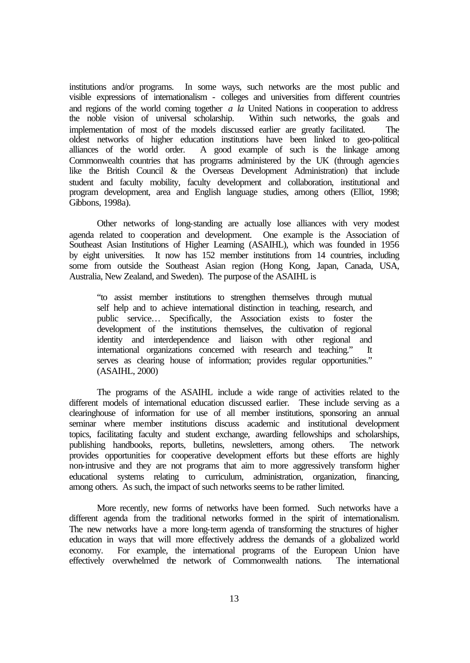institutions and/or programs. In some ways, such networks are the most public and visible expressions of internationalism - colleges and universities from different countries and regions of the world coming together *a la* United Nations in cooperation to address the noble vision of universal scholarship. Within such networks, the goals and the noble vision of universal scholarship. implementation of most of the models discussed earlier are greatly facilitated. The oldest networks of higher education institutions have been linked to geo-political alliances of the world order. A good example of such is the linkage among Commonwealth countries that has programs administered by the UK (through agencies like the British Council & the Overseas Development Administration) that include student and faculty mobility, faculty development and collaboration, institutional and program development, area and English language studies, among others (Elliot, 1998; Gibbons, 1998a).

Other networks of long-standing are actually lose alliances with very modest agenda related to cooperation and development. One example is the Association of Southeast Asian Institutions of Higher Learning (ASAIHL), which was founded in 1956 by eight universities. It now has 152 member institutions from 14 countries, including some from outside the Southeast Asian region (Hong Kong, Japan, Canada, USA, Australia, New Zealand, and Sweden). The purpose of the ASAIHL is

"to assist member institutions to strengthen themselves through mutual self help and to achieve international distinction in teaching, research, and public service… Specifically, the Association exists to foster the development of the institutions themselves, the cultivation of regional identity and interdependence and liaison with other regional and international organizations concerned with research and teaching." It serves as clearing house of information; provides regular opportunities." (ASAIHL, 2000)

The programs of the ASAIHL include a wide range of activities related to the different models of international education discussed earlier. These include serving as a clearinghouse of information for use of all member institutions, sponsoring an annual seminar where member institutions discuss academic and institutional development topics, facilitating faculty and student exchange, awarding fellowships and scholarships, publishing handbooks, reports, bulletins, newsletters, among others. The network provides opportunities for cooperative development efforts but these efforts are highly non-intrusive and they are not programs that aim to more aggressively transform higher educational systems relating to curriculum, administration, organization, financing, among others. As such, the impact of such networks seems to be rather limited.

More recently, new forms of networks have been formed. Such networks have a different agenda from the traditional networks formed in the spirit of internationalism. The new networks have a more long-term agenda of transforming the structures of higher education in ways that will more effectively address the demands of a globalized world economy. For example, the international programs of the European Union have effectively overwhelmed the network of Commonwealth nations. The international effectively overwhelmed the network of Commonwealth nations.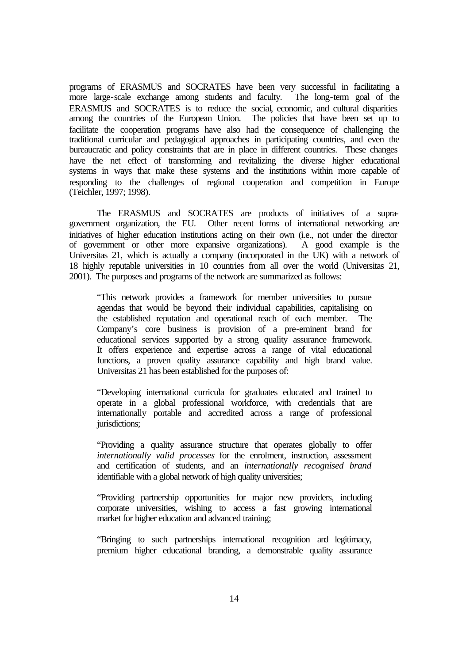programs of ERASMUS and SOCRATES have been very successful in facilitating a more large-scale exchange among students and faculty. The long-term goal of the ERASMUS and SOCRATES is to reduce the social, economic, and cultural disparities among the countries of the European Union. The policies that have been set up to facilitate the cooperation programs have also had the consequence of challenging the traditional curricular and pedagogical approaches in participating countries, and even the bureaucratic and policy constraints that are in place in different countries. These changes have the net effect of transforming and revitalizing the diverse higher educational systems in ways that make these systems and the institutions within more capable of responding to the challenges of regional cooperation and competition in Europe (Teichler, 1997; 1998).

The ERASMUS and SOCRATES are products of initiatives of a supragovernment organization, the EU. Other recent forms of international networking are initiatives of higher education institutions acting on their own (i.e., not under the director of government or other more expansive organizations). A good example is the Universitas 21, which is actually a company (incorporated in the UK) with a network of 18 highly reputable universities in 10 countries from all over the world (Universitas 21, 2001). The purposes and programs of the network are summarized as follows:

"This network provides a framework for member universities to pursue agendas that would be beyond their individual capabilities, capitalising on the established reputation and operational reach of each member. The Company's core business is provision of a pre-eminent brand for educational services supported by a strong quality assurance framework. It offers experience and expertise across a range of vital educational functions, a proven quality assurance capability and high brand value. Universitas 21 has been established for the purposes of:

"Developing international curricula for graduates educated and trained to operate in a global professional workforce, with credentials that are internationally portable and accredited across a range of professional jurisdictions;

"Providing a quality assurance structure that operates globally to offer *internationally valid processes* for the enrolment, instruction, assessment and certification of students, and an *internationally recognised brand* identifiable with a global network of high quality universities;

"Providing partnership opportunities for major new providers, including corporate universities, wishing to access a fast growing international market for higher education and advanced training;

"Bringing to such partnerships international recognition and legitimacy, premium higher educational branding, a demonstrable quality assurance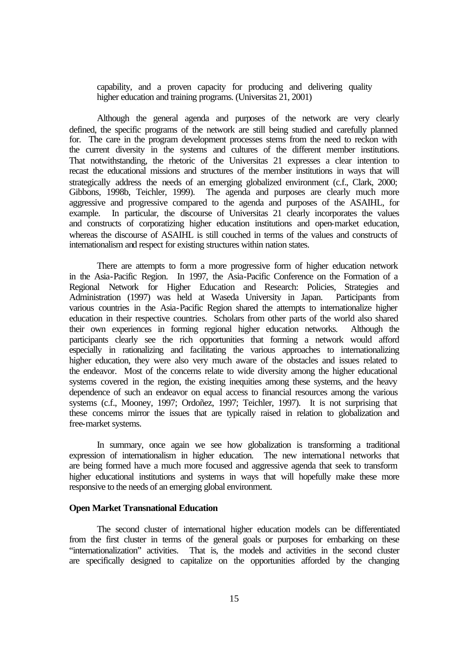capability, and a proven capacity for producing and delivering quality higher education and training programs. (Universitas 21, 2001)

Although the general agenda and purposes of the network are very clearly defined, the specific programs of the network are still being studied and carefully planned for. The care in the program development processes stems from the need to reckon with the current diversity in the systems and cultures of the different member institutions. That notwithstanding, the rhetoric of the Universitas 21 expresses a clear intention to recast the educational missions and structures of the member institutions in ways that will strategically address the needs of an emerging globalized environment (c.f., Clark, 2000; Gibbons, 1998b, Teichler, 1999). The agenda and purposes are clearly much more aggressive and progressive compared to the agenda and purposes of the ASAIHL, for example. In particular, the discourse of Universitas 21 clearly incorporates the values and constructs of corporatizing higher education institutions and open-market education, whereas the discourse of ASAIHL is still couched in terms of the values and constructs of internationalism and respect for existing structures within nation states.

There are attempts to form a more progressive form of higher education network in the Asia-Pacific Region. In 1997, the Asia-Pacific Conference on the Formation of a Regional Network for Higher Education and Research: Policies, Strategies and Administration (1997) was held at Waseda University in Japan. Participants from various countries in the Asia-Pacific Region shared the attempts to internationalize higher education in their respective countries. Scholars from other parts of the world also shared their own experiences in forming regional higher education networks. Although the participants clearly see the rich opportunities that forming a network would afford especially in rationalizing and facilitating the various approaches to internationalizing higher education, they were also very much aware of the obstacles and issues related to the endeavor. Most of the concerns relate to wide diversity among the higher educational systems covered in the region, the existing inequities among these systems, and the heavy dependence of such an endeavor on equal access to financial resources among the various systems (c.f., Mooney, 1997; Ordoñez, 1997; Teichler, 1997). It is not surprising that these concerns mirror the issues that are typically raised in relation to globalization and free-market systems.

In summary, once again we see how globalization is transforming a traditional expression of internationalism in higher education. The new international networks that are being formed have a much more focused and aggressive agenda that seek to transform higher educational institutions and systems in ways that will hopefully make these more responsive to the needs of an emerging global environment.

### **Open Market Transnational Education**

The second cluster of international higher education models can be differentiated from the first cluster in terms of the general goals or purposes for embarking on these "internationalization" activities. That is, the models and activities in the second cluster are specifically designed to capitalize on the opportunities afforded by the changing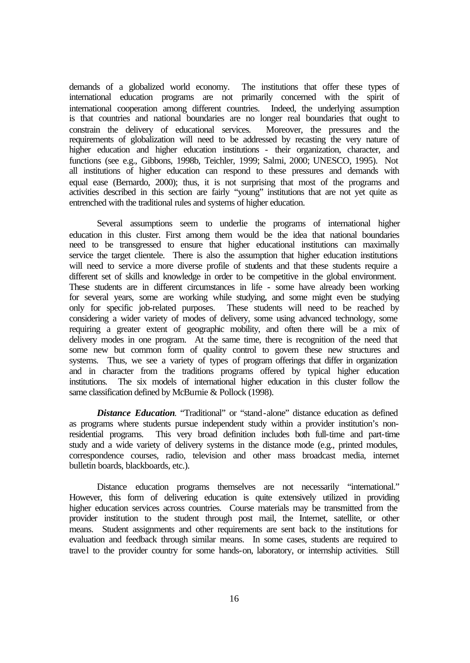demands of a globalized world economy. The institutions that offer these types of international education programs are not primarily concerned with the spirit of international cooperation among different countries. Indeed, the underlying assumption is that countries and national boundaries are no longer real boundaries that ought to constrain the delivery of educational services. Moreover, the pressures and the requirements of globalization will need to be addressed by recasting the very nature of higher education and higher education institutions - their organization, character, and functions (see e.g., Gibbons, 1998b, Teichler, 1999; Salmi, 2000; UNESCO, 1995). Not all institutions of higher education can respond to these pressures and demands with equal ease (Bernardo, 2000); thus, it is not surprising that most of the programs and activities described in this section are fairly "young" institutions that are not yet quite as entrenched with the traditional rules and systems of higher education.

Several assumptions seem to underlie the programs of international higher education in this cluster. First among them would be the idea that national boundaries need to be transgressed to ensure that higher educational institutions can maximally service the target clientele. There is also the assumption that higher education institutions will need to service a more diverse profile of students and that these students require a different set of skills and knowledge in order to be competitive in the global environment. These students are in different circumstances in life - some have already been working for several years, some are working while studying, and some might even be studying only for specific job-related purposes. These students will need to be reached by considering a wider variety of modes of delivery, some using advanced technology, some requiring a greater extent of geographic mobility, and often there will be a mix of delivery modes in one program. At the same time, there is recognition of the need that some new but common form of quality control to govern these new structures and systems. Thus, we see a variety of types of program offerings that differ in organization and in character from the traditions programs offered by typical higher education institutions. The six models of international higher education in this cluster follow the same classification defined by McBurnie & Pollock (1998).

**Distance Education.** "Traditional" or "stand-alone" distance education as defined as programs where students pursue independent study within a provider institution's nonresidential programs. This very broad definition includes both full-time and part-time study and a wide variety of delivery systems in the distance mode (e.g., printed modules, correspondence courses, radio, television and other mass broadcast media, internet bulletin boards, blackboards, etc.).

Distance education programs themselves are not necessarily "international." However, this form of delivering education is quite extensively utilized in providing higher education services across countries. Course materials may be transmitted from the provider institution to the student through post mail, the Internet, satellite, or other means. Student assignments and other requirements are sent back to the institutions for evaluation and feedback through similar means. In some cases, students are required to travel to the provider country for some hands-on, laboratory, or internship activities. Still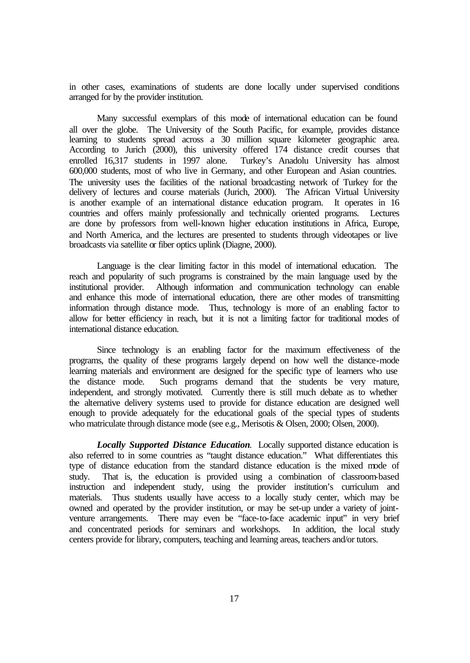in other cases, examinations of students are done locally under supervised conditions arranged for by the provider institution.

Many successful exemplars of this mode of international education can be found all over the globe. The University of the South Pacific, for example, provides distance learning to students spread across a 30 million square kilometer geographic area. According to Jurich (2000), this university offered 174 distance credit courses that enrolled 16,317 students in 1997 alone. Turkey's Anadolu University has almost 600,000 students, most of who live in Germany, and other European and Asian countries. The university uses the facilities of the national broadcasting network of Turkey for the delivery of lectures and course materials (Jurich, 2000). The African Virtual University is another example of an international distance education program. It operates in 16 countries and offers mainly professionally and technically oriented programs. Lectures are done by professors from well-known higher education institutions in Africa, Europe, and North America, and the lectures are presented to students through videotapes or live broadcasts via satellite or fiber optics uplink (Diagne, 2000).

Language is the clear limiting factor in this model of international education. The reach and popularity of such programs is constrained by the main language used by the institutional provider. Although information and communication technology can enable and enhance this mode of international education, there are other modes of transmitting information through distance mode. Thus, technology is more of an enabling factor to allow for better efficiency in reach, but it is not a limiting factor for traditional modes of international distance education.

Since technology is an enabling factor for the maximum effectiveness of the programs, the quality of these programs largely depend on how well the distance-mode learning materials and environment are designed for the specific type of learners who use the distance mode. Such programs demand that the students be very mature, independent, and strongly motivated. Currently there is still much debate as to whether the alternative delivery systems used to provide for distance education are designed well enough to provide adequately for the educational goals of the special types of students who matriculate through distance mode (see e.g., Merisotis & Olsen, 2000; Olsen, 2000).

*Locally Supported Distance Education*. Locally supported distance education is also referred to in some countries as "taught distance education." What differentiates this type of distance education from the standard distance education is the mixed mode of study. That is, the education is provided using a combination of classroom-based instruction and independent study, using the provider institution's curriculum and materials. Thus students usually have access to a locally study center, which may be owned and operated by the provider institution, or may be set-up under a variety of jointventure arrangements. There may even be "face-to-face academic input" in very brief and concentrated periods for seminars and workshops. In addition, the local study centers provide for library, computers, teaching and learning areas, teachers and/or tutors.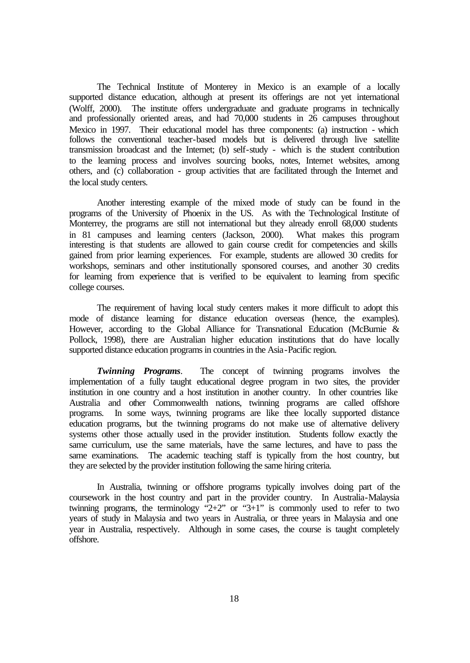The Technical Institute of Monterey in Mexico is an example of a locally supported distance education, although at present its offerings are not yet international (Wolff, 2000). The institute offers undergraduate and graduate programs in technically and professionally oriented areas, and had 70,000 students in 26 campuses throughout Mexico in 1997. Their educational model has three components: (a) instruction - which follows the conventional teacher-based models but is delivered through live satellite transmission broadcast and the Internet; (b) self-study - which is the student contribution to the learning process and involves sourcing books, notes, Internet websites, among others, and (c) collaboration - group activities that are facilitated through the Internet and the local study centers.

Another interesting example of the mixed mode of study can be found in the programs of the University of Phoenix in the US. As with the Technological Institute of Monterrey, the programs are still not international but they already enroll 68,000 students in 81 campuses and learning centers (Jackson, 2000). What makes this program interesting is that students are allowed to gain course credit for competencies and skills gained from prior learning experiences. For example, students are allowed 30 credits for workshops, seminars and other institutionally sponsored courses, and another 30 credits for learning from experience that is verified to be equivalent to learning from specific college courses.

The requirement of having local study centers makes it more difficult to adopt this mode of distance learning for distance education overseas (hence, the examples). However, according to the Global Alliance for Transnational Education (McBurnie & Pollock, 1998), there are Australian higher education institutions that do have locally supported distance education programs in countries in the Asia-Pacific region.

*Twinning Programs*. The concept of twinning programs involves the implementation of a fully taught educational degree program in two sites, the provider institution in one country and a host institution in another country. In other countries like Australia and other Commonwealth nations, twinning programs are called offshore programs. In some ways, twinning programs are like thee locally supported distance education programs, but the twinning programs do not make use of alternative delivery systems other those actually used in the provider institution. Students follow exactly the same curriculum, use the same materials, have the same lectures, and have to pass the same examinations. The academic teaching staff is typically from the host country, but they are selected by the provider institution following the same hiring criteria.

In Australia, twinning or offshore programs typically involves doing part of the coursework in the host country and part in the provider country. In Australia-Malaysia twinning programs, the terminology  $2+2$ " or  $3+1$ " is commonly used to refer to two years of study in Malaysia and two years in Australia, or three years in Malaysia and one year in Australia, respectively. Although in some cases, the course is taught completely offshore.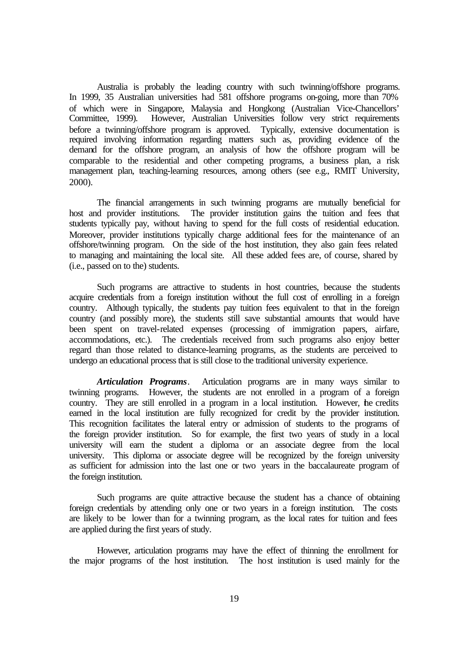Australia is probably the leading country with such twinning/offshore programs. In 1999, 35 Australian universities had 581 offshore programs on-going, more than 70% of which were in Singapore, Malaysia and Hongkong (Australian Vice-Chancellors' However, Australian Universities follow very strict requirements before a twinning/offshore program is approved. Typically, extensive documentation is required involving information regarding matters such as, providing evidence of the demand for the offshore program, an analysis of how the offshore program will be comparable to the residential and other competing programs, a business plan, a risk management plan, teaching-learning resources, among others (see e.g., RMIT University, 2000).

The financial arrangements in such twinning programs are mutually beneficial for host and provider institutions. The provider institution gains the tuition and fees that students typically pay, without having to spend for the full costs of residential education. Moreover, provider institutions typically charge additional fees for the maintenance of an offshore/twinning program. On the side of the host institution, they also gain fees related to managing and maintaining the local site. All these added fees are, of course, shared by (i.e., passed on to the) students.

Such programs are attractive to students in host countries, because the students acquire credentials from a foreign institution without the full cost of enrolling in a foreign country. Although typically, the students pay tuition fees equivalent to that in the foreign country (and possibly more), the students still save substantial amounts that would have been spent on travel-related expenses (processing of immigration papers, airfare, accommodations, etc.). The credentials received from such programs also enjoy better regard than those related to distance-learning programs, as the students are perceived to undergo an educational process that is still close to the traditional university experience.

*Articulation Programs*. Articulation programs are in many ways similar to twinning programs. However, the students are not enrolled in a program of a foreign country. They are still enrolled in a program in a local institution. However, the credits earned in the local institution are fully recognized for credit by the provider institution. This recognition facilitates the lateral entry or admission of students to the programs of the foreign provider institution. So for example, the first two years of study in a local university will earn the student a diploma or an associate degree from the local university. This diploma or associate degree will be recognized by the foreign university as sufficient for admission into the last one or two years in the baccalaureate program of the foreign institution.

Such programs are quite attractive because the student has a chance of obtaining foreign credentials by attending only one or two years in a foreign institution. The costs are likely to be lower than for a twinning program, as the local rates for tuition and fees are applied during the first years of study.

However, articulation programs may have the effect of thinning the enrollment for the major programs of the host institution. The host institution is used mainly for the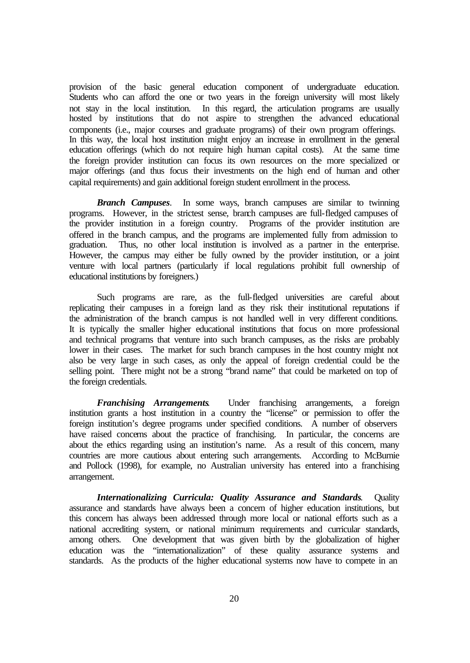provision of the basic general education component of undergraduate education. Students who can afford the one or two years in the foreign university will most likely not stay in the local institution. In this regard, the articulation programs are usually hosted by institutions that do not aspire to strengthen the advanced educational components (i.e., major courses and graduate programs) of their own program offerings. In this way, the local host institution might enjoy an increase in enrollment in the general education offerings (which do not require high human capital costs). At the same time the foreign provider institution can focus its own resources on the more specialized or major offerings (and thus focus their investments on the high end of human and other capital requirements) and gain additional foreign student enrollment in the process.

*Branch Campuses*. In some ways, branch campuses are similar to twinning programs. However, in the strictest sense, branch campuses are full-fledged campuses of the provider institution in a foreign country. Programs of the provider institution are offered in the branch campus, and the programs are implemented fully from admission to graduation. Thus, no other local institution is involved as a partner in the enterprise. However, the campus may either be fully owned by the provider institution, or a joint venture with local partners (particularly if local regulations prohibit full ownership of educational institutions by foreigners.)

Such programs are rare, as the full-fledged universities are careful about replicating their campuses in a foreign land as they risk their institutional reputations if the administration of the branch campus is not handled well in very different conditions. It is typically the smaller higher educational institutions that focus on more professional and technical programs that venture into such branch campuses, as the risks are probably lower in their cases. The market for such branch campuses in the host country might not also be very large in such cases, as only the appeal of foreign credential could be the selling point. There might not be a strong "brand name" that could be marketed on top of the foreign credentials.

*Franchising Arrangements*. Under franchising arrangements, a foreign institution grants a host institution in a country the "license" or permission to offer the foreign institution's degree programs under specified conditions. A number of observers have raised concerns about the practice of franchising. In particular, the concerns are about the ethics regarding using an institution's name. As a result of this concern, many countries are more cautious about entering such arrangements. According to McBurnie and Pollock (1998), for example, no Australian university has entered into a franchising arrangement.

*Internationalizing Curricula: Quality Assurance and Standards.* Quality assurance and standards have always been a concern of higher education institutions, but this concern has always been addressed through more local or national efforts such as a national accrediting system, or national minimum requirements and curricular standards, among others. One development that was given birth by the globalization of higher education was the "internationalization" of these quality assurance systems and standards. As the products of the higher educational systems now have to compete in an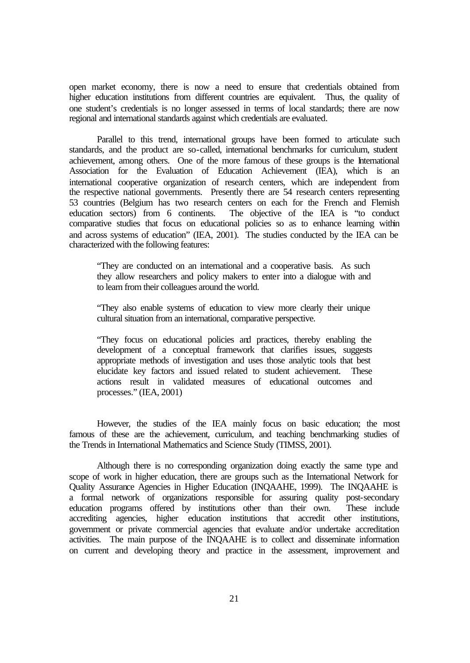open market economy, there is now a need to ensure that credentials obtained from higher education institutions from different countries are equivalent. Thus, the quality of one student's credentials is no longer assessed in terms of local standards; there are now regional and international standards against which credentials are evaluated.

Parallel to this trend, international groups have been formed to articulate such standards, and the product are so-called, international benchmarks for curriculum, student achievement, among others. One of the more famous of these groups is the International Association for the Evaluation of Education Achievement (IEA), which is an international cooperative organization of research centers, which are independent from the respective national governments. Presently there are 54 research centers representing 53 countries (Belgium has two research centers on each for the French and Flemish education sectors) from 6 continents. The objective of the IEA is "to conduct comparative studies that focus on educational policies so as to enhance learning within and across systems of education" (IEA, 2001). The studies conducted by the IEA can be characterized with the following features:

"They are conducted on an international and a cooperative basis. As such they allow researchers and policy makers to enter into a dialogue with and to learn from their colleagues around the world.

"They also enable systems of education to view more clearly their unique cultural situation from an international, comparative perspective.

"They focus on educational policies and practices, thereby enabling the development of a conceptual framework that clarifies issues, suggests appropriate methods of investigation and uses those analytic tools that best elucidate key factors and issued related to student achievement. These actions result in validated measures of educational outcomes and processes." (IEA, 2001)

However, the studies of the IEA mainly focus on basic education; the most famous of these are the achievement, curriculum, and teaching benchmarking studies of the Trends in International Mathematics and Science Study (TIMSS, 2001).

Although there is no corresponding organization doing exactly the same type and scope of work in higher education, there are groups such as the International Network for Quality Assurance Agencies in Higher Education (INQAAHE, 1999). The INQAAHE is a formal network of organizations responsible for assuring quality post-secondary education programs offered by institutions other than their own. These include accrediting agencies, higher education institutions that accredit other institutions, government or private commercial agencies that evaluate and/or undertake accreditation activities. The main purpose of the INQAAHE is to collect and disseminate information on current and developing theory and practice in the assessment, improvement and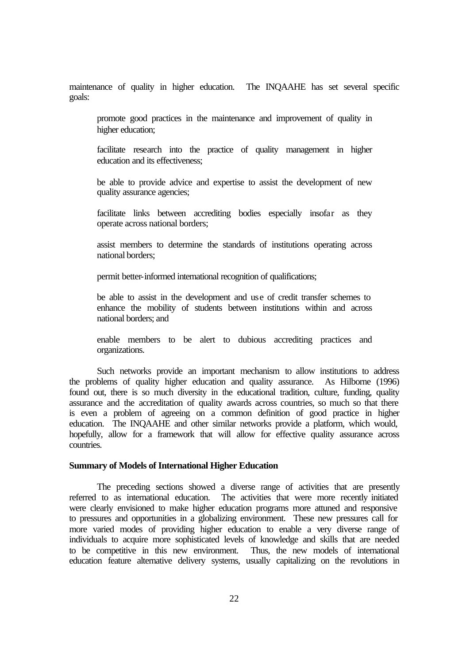maintenance of quality in higher education. The INQAAHE has set several specific goals:

promote good practices in the maintenance and improvement of quality in higher education;

facilitate research into the practice of quality management in higher education and its effectiveness;

be able to provide advice and expertise to assist the development of new quality assurance agencies;

facilitate links between accrediting bodies especially insofar as they operate across national borders;

assist members to determine the standards of institutions operating across national borders;

permit better-informed international recognition of qualifications;

be able to assist in the development and use of credit transfer schemes to enhance the mobility of students between institutions within and across national borders; and

enable members to be alert to dubious accrediting practices and organizations.

Such networks provide an important mechanism to allow institutions to address the problems of quality higher education and quality assurance. As Hilborne (1996) found out, there is so much diversity in the educational tradition, culture, funding, quality assurance and the accreditation of quality awards across countries, so much so that there is even a problem of agreeing on a common definition of good practice in higher education. The INQAAHE and other similar networks provide a platform, which would, hopefully, allow for a framework that will allow for effective quality assurance across countries.

#### **Summary of Models of International Higher Education**

The preceding sections showed a diverse range of activities that are presently referred to as international education. The activities that were more recently initiated were clearly envisioned to make higher education programs more attuned and responsive to pressures and opportunities in a globalizing environment. These new pressures call for more varied modes of providing higher education to enable a very diverse range of individuals to acquire more sophisticated levels of knowledge and skills that are needed to be competitive in this new environment. Thus, the new models of international education feature alternative delivery systems, usually capitalizing on the revolutions in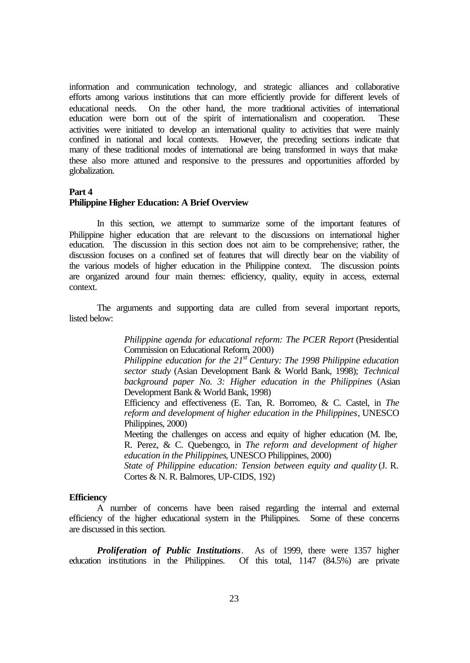information and communication technology, and strategic alliances and collaborative efforts among various institutions that can more efficiently provide for different levels of educational needs. On the other hand, the more traditional activities of international education were born out of the spirit of internationalism and cooperation. These activities were initiated to develop an international quality to activities that were mainly confined in national and local contexts. However, the preceding sections indicate that many of these traditional modes of international are being transformed in ways that make these also more attuned and responsive to the pressures and opportunities afforded by globalization.

#### **Part 4**

### **Philippine Higher Education: A Brief Overview**

In this section, we attempt to summarize some of the important features of Philippine higher education that are relevant to the discussions on international higher education. The discussion in this section does not aim to be comprehensive; rather, the discussion focuses on a confined set of features that will directly bear on the viability of the various models of higher education in the Philippine context. The discussion points are organized around four main themes: efficiency, quality, equity in access, external context.

The arguments and supporting data are culled from several important reports, listed below:

> *Philippine agenda for educational reform: The PCER Report* (Presidential Commission on Educational Reform, 2000)

> *Philippine education for the 21st Century: The 1998 Philippine education sector study* (Asian Development Bank & World Bank, 1998); *Technical background paper No. 3: Higher education in the Philippines* (Asian Development Bank & World Bank, 1998)

> Efficiency and effectiveness (E. Tan, R. Borromeo, & C. Castel, in *The reform and development of higher education in the Philippines*, UNESCO Philippines, 2000)

> Meeting the challenges on access and equity of higher education (M. Ibe, R. Perez, & C. Quebengco, in *The reform and development of higher education in the Philippines*, UNESCO Philippines, 2000)

> *State of Philippine education: Tension between equity and quality* (J. R. Cortes & N. R. Balmores, UP-CIDS, 192)

#### **Efficiency**

A number of concerns have been raised regarding the internal and external efficiency of the higher educational system in the Philippines. Some of these concerns are discussed in this section.

*Proliferation of Public Institutions*. As of 1999, there were 1357 higher education institutions in the Philippines. Of this total, 1147 (84.5%) are private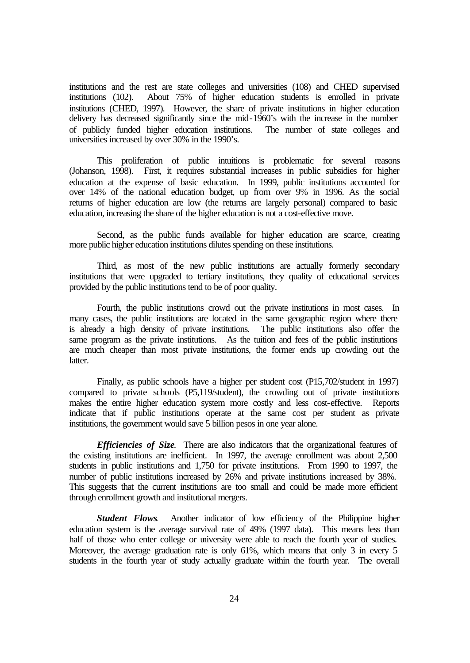institutions and the rest are state colleges and universities (108) and CHED supervised institutions (102). About 75% of higher education students is enrolled in private institutions (CHED, 1997). However, the share of private institutions in higher education delivery has decreased significantly since the mid-1960's with the increase in the number of publicly funded higher education institutions. The number of state colleges and universities increased by over 30% in the 1990's.

This proliferation of public intuitions is problematic for several reasons (Johanson, 1998). First, it requires substantial increases in public subsidies for higher education at the expense of basic education. In 1999, public institutions accounted for over 14% of the national education budget, up from over 9% in 1996. As the social returns of higher education are low (the returns are largely personal) compared to basic education, increasing the share of the higher education is not a cost-effective move.

Second, as the public funds available for higher education are scarce, creating more public higher education institutions dilutes spending on these institutions.

Third, as most of the new public institutions are actually formerly secondary institutions that were upgraded to tertiary institutions, they quality of educational services provided by the public institutions tend to be of poor quality.

Fourth, the public institutions crowd out the private institutions in most cases. In many cases, the public institutions are located in the same geographic region where there is already a high density of private institutions. The public institutions also offer the same program as the private institutions. As the tuition and fees of the public institutions are much cheaper than most private institutions, the former ends up crowding out the latter.

Finally, as public schools have a higher per student cost (P15,702/student in 1997) compared to private schools (P5,119/student), the crowding out of private institutions makes the entire higher education system more costly and less cost-effective. Reports indicate that if public institutions operate at the same cost per student as private institutions, the government would save 5 billion pesos in one year alone.

*Efficiencies of Size*. There are also indicators that the organizational features of the existing institutions are inefficient. In 1997, the average enrollment was about 2,500 students in public institutions and 1,750 for private institutions. From 1990 to 1997, the number of public institutions increased by 26% and private institutions increased by 38%. This suggests that the current institutions are too small and could be made more efficient through enrollment growth and institutional mergers.

*Student Flows.* Another indicator of low efficiency of the Philippine higher education system is the average survival rate of 49% (1997 data). This means less than half of those who enter college or university were able to reach the fourth year of studies. Moreover, the average graduation rate is only 61%, which means that only 3 in every 5 students in the fourth year of study actually graduate within the fourth year. The overall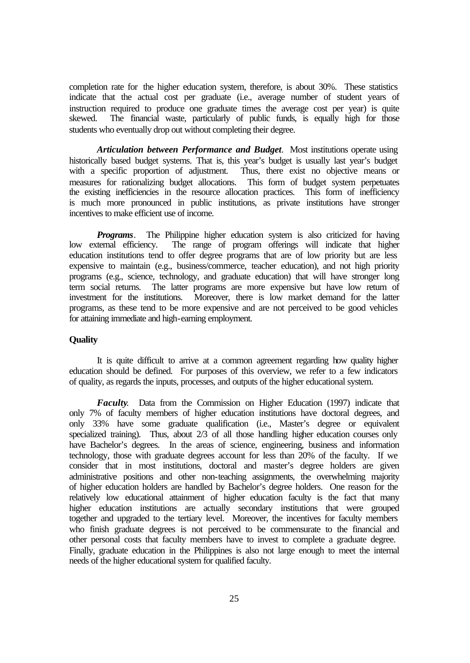completion rate for the higher education system, therefore, is about 30%. These statistics indicate that the actual cost per graduate (i.e., average number of student years of instruction required to produce one graduate times the average cost per year) is quite skewed. The financial waste, particularly of public funds, is equally high for those students who eventually drop out without completing their degree.

*Articulation between Performance and Budget*. Most institutions operate using historically based budget systems. That is, this year's budget is usually last year's budget with a specific proportion of adjustment. Thus, there exist no objective means or with a specific proportion of adjustment. measures for rationalizing budget allocations. This form of budget system perpetuates the existing inefficiencies in the resource allocation practices. This form of inefficiency is much more pronounced in public institutions, as private institutions have stronger incentives to make efficient use of income.

*Programs*. The Philippine higher education system is also criticized for having low external efficiency. The range of program offerings will indicate that higher education institutions tend to offer degree programs that are of low priority but are less expensive to maintain (e.g., business/commerce, teacher education), and not high priority programs (e.g., science, technology, and graduate education) that will have stronger long term social returns. The latter programs are more expensive but have low return of investment for the institutions. Moreover, there is low market demand for the latter Moreover, there is low market demand for the latter programs, as these tend to be more expensive and are not perceived to be good vehicles for attaining immediate and high-earning employment.

### **Quality**

It is quite difficult to arrive at a common agreement regarding how quality higher education should be defined. For purposes of this overview, we refer to a few indicators of quality, as regards the inputs, processes, and outputs of the higher educational system.

*Faculty*. Data from the Commission on Higher Education (1997) indicate that only 7% of faculty members of higher education institutions have doctoral degrees, and only 33% have some graduate qualification (i.e., Master's degree or equivalent specialized training). Thus, about 2/3 of all those handling higher education courses only have Bachelor's degrees. In the areas of science, engineering, business and information technology, those with graduate degrees account for less than 20% of the faculty. If we consider that in most institutions, doctoral and master's degree holders are given administrative positions and other non-teaching assignments, the overwhelming majority of higher education holders are handled by Bachelor's degree holders. One reason for the relatively low educational attainment of higher education faculty is the fact that many higher education institutions are actually secondary institutions that were grouped together and upgraded to the tertiary level. Moreover, the incentives for faculty members who finish graduate degrees is not perceived to be commensurate to the financial and other personal costs that faculty members have to invest to complete a graduate degree. Finally, graduate education in the Philippines is also not large enough to meet the internal needs of the higher educational system for qualified faculty.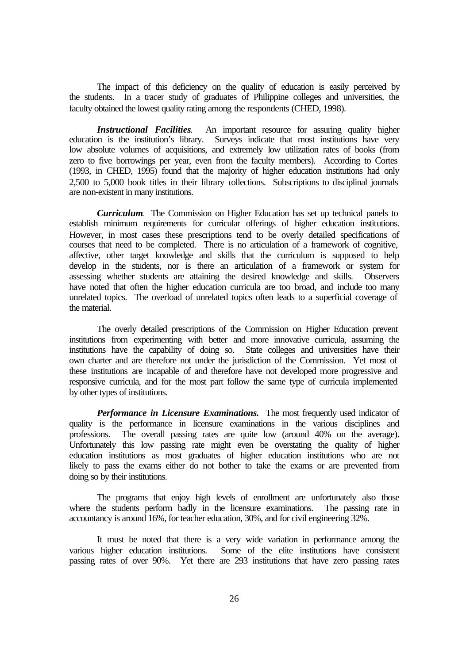The impact of this deficiency on the quality of education is easily perceived by the students. In a tracer study of graduates of Philippine colleges and universities, the faculty obtained the lowest quality rating among the respondents (CHED, 1998).

*Instructional Facilities*. An important resource for assuring quality higher education is the institution's library. Surveys indicate that most institutions have very low absolute volumes of acquisitions, and extremely low utilization rates of books (from zero to five borrowings per year, even from the faculty members). According to Cortes (1993, in CHED, 1995) found that the majority of higher education institutions had only 2,500 to 5,000 book titles in their library collections. Subscriptions to disciplinal journals are non-existent in many institutions.

*Curriculum*. The Commission on Higher Education has set up technical panels to establish minimum requirements for curricular offerings of higher education institutions. However, in most cases these prescriptions tend to be overly detailed specifications of courses that need to be completed. There is no articulation of a framework of cognitive, affective, other target knowledge and skills that the curriculum is supposed to help develop in the students, nor is there an articulation of a framework or system for assessing whether students are attaining the desired knowledge and skills. Observers have noted that often the higher education curricula are too broad, and include too many unrelated topics. The overload of unrelated topics often leads to a superficial coverage of the material.

The overly detailed prescriptions of the Commission on Higher Education prevent institutions from experimenting with better and more innovative curricula, assuming the institutions have the capability of doing so. State colleges and universities have their own charter and are therefore not under the jurisdiction of the Commission. Yet most of these institutions are incapable of and therefore have not developed more progressive and responsive curricula, and for the most part follow the same type of curricula implemented by other types of institutions.

*Performance in Licensure Examinations.* The most frequently used indicator of quality is the performance in licensure examinations in the various disciplines and professions. The overall passing rates are quite low (around 40% on the average). Unfortunately this low passing rate might even be overstating the quality of higher education institutions as most graduates of higher education institutions who are not likely to pass the exams either do not bother to take the exams or are prevented from doing so by their institutions.

The programs that enjoy high levels of enrollment are unfortunately also those where the students perform badly in the licensure examinations. The passing rate in accountancy is around 16%, for teacher education, 30%, and for civil engineering 32%.

It must be noted that there is a very wide variation in performance among the various higher education institutions. Some of the elite institutions have consistent passing rates of over 90%. Yet there are 293 institutions that have zero passing rates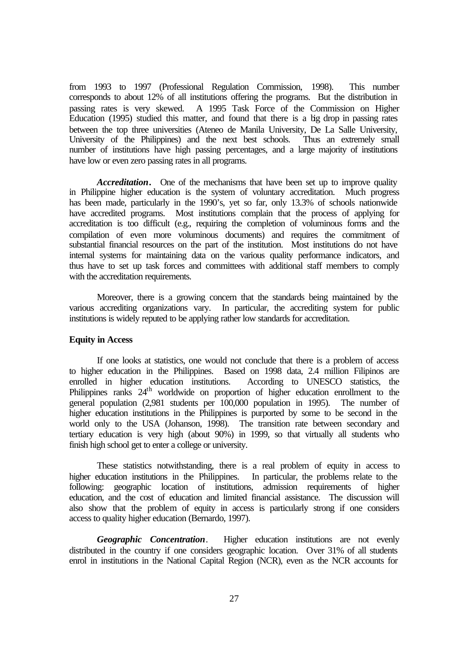from 1993 to 1997 (Professional Regulation Commission, 1998). This number corresponds to about 12% of all institutions offering the programs. But the distribution in passing rates is very skewed. A 1995 Task Force of the Commission on Higher Education (1995) studied this matter, and found that there is a big drop in passing rates between the top three universities (Ateneo de Manila University, De La Salle University, University of the Philippines) and the next best schools. Thus an extremely small number of institutions have high passing percentages, and a large majority of institutions have low or even zero passing rates in all programs.

*Accreditation***.** One of the mechanisms that have been set up to improve quality in Philippine higher education is the system of voluntary accreditation. Much progress has been made, particularly in the 1990's, yet so far, only 13.3% of schools nationwide have accredited programs. Most institutions complain that the process of applying for accreditation is too difficult (e.g., requiring the completion of voluminous forms and the compilation of even more voluminous documents) and requires the commitment of substantial financial resources on the part of the institution. Most institutions do not have internal systems for maintaining data on the various quality performance indicators, and thus have to set up task forces and committees with additional staff members to comply with the accreditation requirements.

Moreover, there is a growing concern that the standards being maintained by the various accrediting organizations vary. In particular, the accrediting system for public institutions is widely reputed to be applying rather low standards for accreditation.

#### **Equity in Access**

If one looks at statistics, one would not conclude that there is a problem of access to higher education in the Philippines. Based on 1998 data, 2.4 million Filipinos are enrolled in higher education institutions. According to UNESCO statistics, the Philippines ranks  $24<sup>th</sup>$  worldwide on proportion of higher education enrollment to the general population (2,981 students per 100,000 population in 1995). The number of higher education institutions in the Philippines is purported by some to be second in the world only to the USA (Johanson, 1998). The transition rate between secondary and tertiary education is very high (about 90%) in 1999, so that virtually all students who finish high school get to enter a college or university.

These statistics notwithstanding, there is a real problem of equity in access to higher education institutions in the Philippines. In particular, the problems relate to the following: geographic location of institutions, admission requirements of higher education, and the cost of education and limited financial assistance. The discussion will also show that the problem of equity in access is particularly strong if one considers access to quality higher education (Bernardo, 1997).

*Geographic Concentration*. Higher education institutions are not evenly distributed in the country if one considers geographic location. Over 31% of all students enrol in institutions in the National Capital Region (NCR), even as the NCR accounts for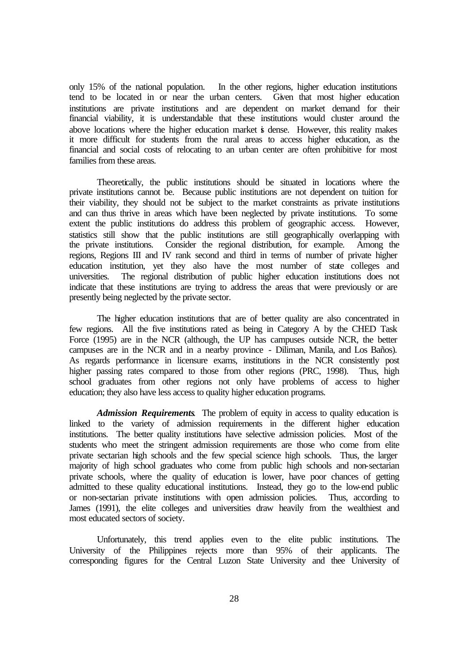only 15% of the national population. In the other regions, higher education institutions tend to be located in or near the urban centers. Given that most higher education institutions are private institutions and are dependent on market demand for their financial viability, it is understandable that these institutions would cluster around the above locations where the higher education market is dense. However, this reality makes it more difficult for students from the rural areas to access higher education, as the financial and social costs of relocating to an urban center are often prohibitive for most families from these areas.

Theoretically, the public institutions should be situated in locations where the private institutions cannot be. Because public institutions are not dependent on tuition for their viability, they should not be subject to the market constraints as private institutions and can thus thrive in areas which have been neglected by private institutions. To some extent the public institutions do address this problem of geographic access. However, statistics still show that the public institutions are still geographically overlapping with the private institutions. Consider the regional distribution, for example. Among the regions, Regions III and IV rank second and third in terms of number of private higher education institution, yet they also have the most number of state colleges and universities. The regional distribution of public higher education institutions does not indicate that these institutions are trying to address the areas that were previously or are presently being neglected by the private sector.

The higher education institutions that are of better quality are also concentrated in few regions. All the five institutions rated as being in Category A by the CHED Task Force (1995) are in the NCR (although, the UP has campuses outside NCR, the better campuses are in the NCR and in a nearby province - Diliman, Manila, and Los Baños). As regards performance in licensure exams, institutions in the NCR consistently post higher passing rates compared to those from other regions (PRC, 1998). Thus, high school graduates from other regions not only have problems of access to higher education; they also have less access to quality higher education programs.

*Admission Requirements*. The problem of equity in access to quality education is linked to the variety of admission requirements in the different higher education institutions. The better quality institutions have selective admission policies. Most of the students who meet the stringent admission requirements are those who come from elite private sectarian high schools and the few special science high schools. Thus, the larger majority of high school graduates who come from public high schools and non-sectarian private schools, where the quality of education is lower, have poor chances of getting admitted to these quality educational institutions. Instead, they go to the low-end public or non-sectarian private institutions with open admission policies. Thus, according to James (1991), the elite colleges and universities draw heavily from the wealthiest and most educated sectors of society.

Unfortunately, this trend applies even to the elite public institutions. The University of the Philippines rejects more than 95% of their applicants. The corresponding figures for the Central Luzon State University and thee University of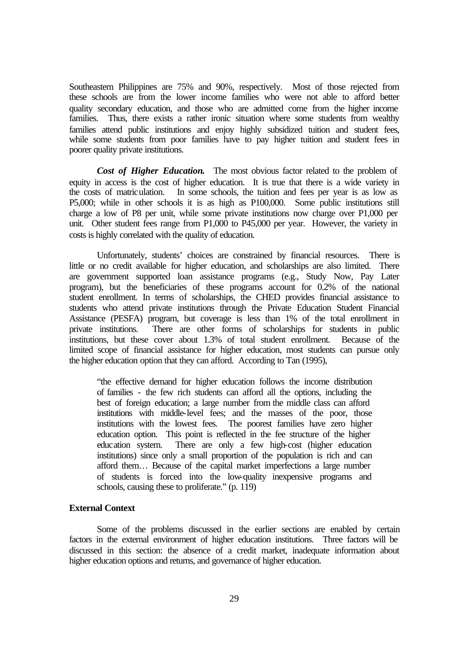Southeastern Philippines are 75% and 90%, respectively. Most of those rejected from these schools are from the lower income families who were not able to afford better quality secondary education, and those who are admitted come from the higher income families. Thus, there exists a rather ironic situation where some students from wealthy families attend public institutions and enjoy highly subsidized tuition and student fees, while some students from poor families have to pay higher tuition and student fees in poorer quality private institutions.

*Cost of Higher Education***.** The most obvious factor related to the problem of equity in access is the cost of higher education. It is true that there is a wide variety in the costs of matriculation. In some schools, the tuition and fees per year is as low as P5,000; while in other schools it is as high as P100,000. Some public institutions still charge a low of P8 per unit, while some private institutions now charge over P1,000 per unit. Other student fees range from P1,000 to P45,000 per year. However, the variety in costs is highly correlated with the quality of education.

Unfortunately, students' choices are constrained by financial resources. There is little or no credit available for higher education, and scholarships are also limited. There are government supported loan assistance programs (e.g., Study Now, Pay Later program), but the beneficiaries of these programs account for 0.2% of the national student enrollment. In terms of scholarships, the CHED provides financial assistance to students who attend private institutions through the Private Education Student Financial Assistance (PESFA) program, but coverage is less than 1% of the total enrollment in private institutions. There are other forms of scholarships for students in public institutions, but these cover about 1.3% of total student enrollment. Because of the limited scope of financial assistance for higher education, most students can pursue only the higher education option that they can afford. According to Tan (1995),

"the effective demand for higher education follows the income distribution of families - the few rich students can afford all the options, including the best of foreign education; a large number from the middle class can afford institutions with middle-level fees; and the masses of the poor, those institutions with the lowest fees. The poorest families have zero higher education option. This point is reflected in the fee structure of the higher education system. There are only a few high-cost (higher education institutions) since only a small proportion of the population is rich and can afford them… Because of the capital market imperfections a large number of students is forced into the low-quality inexpensive programs and schools, causing these to proliferate."  $(p, 119)$ 

### **External Context**

Some of the problems discussed in the earlier sections are enabled by certain factors in the external environment of higher education institutions. Three factors will be discussed in this section: the absence of a credit market, inadequate information about higher education options and returns, and governance of higher education.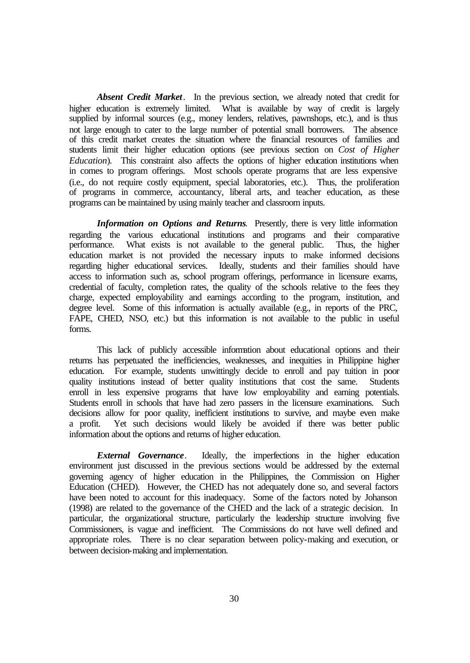*Absent Credit Market.* In the previous section, we already noted that credit for higher education is extremely limited. What is available by way of credit is largely supplied by informal sources (e.g., money lenders, relatives, pawnshops, etc.), and is thus not large enough to cater to the large number of potential small borrowers. The absence of this credit market creates the situation where the financial resources of families and students limit their higher education options (see previous section on *Cost of Higher Education*). This constraint also affects the options of higher education institutions when in comes to program offerings. Most schools operate programs that are less expensive (i.e., do not require costly equipment, special laboratories, etc.). Thus, the proliferation of programs in commerce, accountancy, liberal arts, and teacher education, as these programs can be maintained by using mainly teacher and classroom inputs.

*Information on Options and Returns*. Presently, there is very little information regarding the various educational institutions and programs and their comparative performance. What exists is not available to the general public. Thus, the higher education market is not provided the necessary inputs to make informed decisions regarding higher educational services. Ideally, students and their families should have access to information such as, school program offerings, performance in licensure exams, credential of faculty, completion rates, the quality of the schools relative to the fees they charge, expected employability and earnings according to the program, institution, and degree level. Some of this information is actually available (e.g., in reports of the PRC, FAPE, CHED, NSO, etc.) but this information is not available to the public in useful forms.

This lack of publicly accessible information about educational options and their returns has perpetuated the inefficiencies, weaknesses, and inequities in Philippine higher education. For example, students unwittingly decide to enroll and pay tuition in poor quality institutions instead of better quality institutions that cost the same. Students enroll in less expensive programs that have low employability and earning potentials. Students enroll in schools that have had zero passers in the licensure examinations. Such decisions allow for poor quality, inefficient institutions to survive, and maybe even make a profit. Yet such decisions would likely be avoided if there was better public information about the options and returns of higher education.

*External Governance*. Ideally, the imperfections in the higher education environment just discussed in the previous sections would be addressed by the external governing agency of higher education in the Philippines, the Commission on Higher Education (CHED). However, the CHED has not adequately done so, and several factors have been noted to account for this inadequacy. Some of the factors noted by Johanson (1998) are related to the governance of the CHED and the lack of a strategic decision. In particular, the organizational structure, particularly the leadership structure involving five Commissioners, is vague and inefficient. The Commissions do not have well defined and appropriate roles. There is no clear separation between policy-making and execution, or between decision-making and implementation.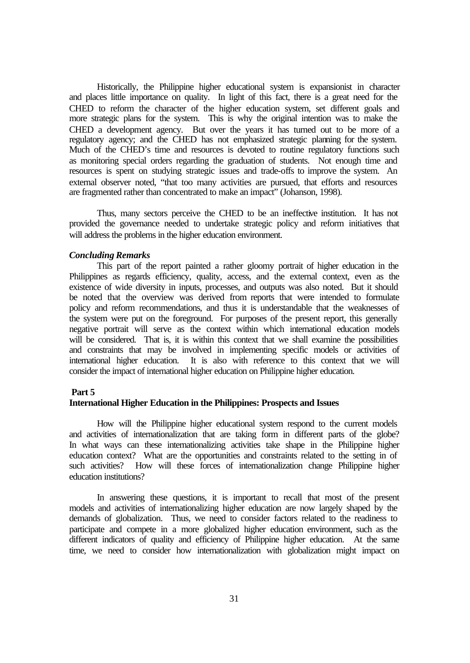Historically, the Philippine higher educational system is expansionist in character and places little importance on quality. In light of this fact, there is a great need for the CHED to reform the character of the higher education system, set different goals and more strategic plans for the system. This is why the original intention was to make the CHED a development agency. But over the years it has turned out to be more of a regulatory agency; and the CHED has not emphasized strategic planning for the system. Much of the CHED's time and resources is devoted to routine regulatory functions such as monitoring special orders regarding the graduation of students. Not enough time and resources is spent on studying strategic issues and trade-offs to improve the system. An external observer noted, "that too many activities are pursued, that efforts and resources are fragmented rather than concentrated to make an impact" (Johanson, 1998).

Thus, many sectors perceive the CHED to be an ineffective institution. It has not provided the governance needed to undertake strategic policy and reform initiatives that will address the problems in the higher education environment.

### *Concluding Remarks*

This part of the report painted a rather gloomy portrait of higher education in the Philippines as regards efficiency, quality, access, and the external context, even as the existence of wide diversity in inputs, processes, and outputs was also noted. But it should be noted that the overview was derived from reports that were intended to formulate policy and reform recommendations, and thus it is understandable that the weaknesses of the system were put on the foreground. For purposes of the present report, this generally negative portrait will serve as the context within which international education models will be considered. That is, it is within this context that we shall examine the possibilities and constraints that may be involved in implementing specific models or activities of international higher education. It is also with reference to this context that we will consider the impact of international higher education on Philippine higher education.

### **Part 5**

## **International Higher Education in the Philippines: Prospects and Issues**

How will the Philippine higher educational system respond to the current models and activities of internationalization that are taking form in different parts of the globe? In what ways can these internationalizing activities take shape in the Philippine higher education context? What are the opportunities and constraints related to the setting in of such activities? How will these forces of internationalization change Philippine higher education institutions?

In answering these questions, it is important to recall that most of the present models and activities of internationalizing higher education are now largely shaped by the demands of globalization. Thus, we need to consider factors related to the readiness to participate and compete in a more globalized higher education environment, such as the different indicators of quality and efficiency of Philippine higher education. At the same time, we need to consider how internationalization with globalization might impact on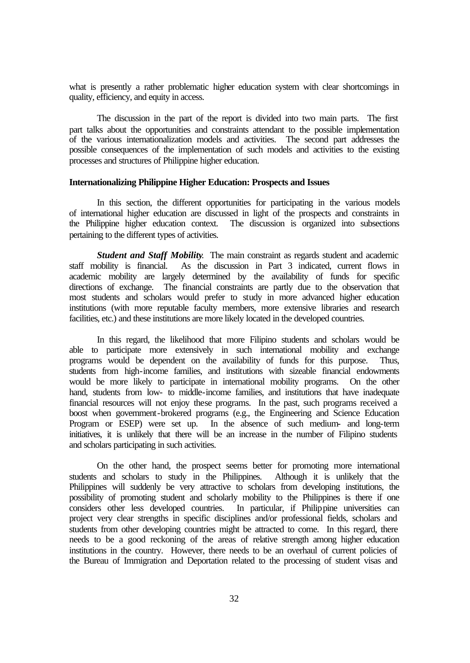what is presently a rather problematic higher education system with clear shortcomings in quality, efficiency, and equity in access.

The discussion in the part of the report is divided into two main parts. The first part talks about the opportunities and constraints attendant to the possible implementation of the various internationalization models and activities. The second part addresses the possible consequences of the implementation of such models and activities to the existing processes and structures of Philippine higher education.

### **Internationalizing Philippine Higher Education: Prospects and Issues**

In this section, the different opportunities for participating in the various models of international higher education are discussed in light of the prospects and constraints in The discussion is organized into subsections pertaining to the different types of activities.

**Student and Staff Mobility**. The main constraint as regards student and academic staff mobility is financial. As the discussion in Part 3 indicated, current flows in As the discussion in Part 3 indicated, current flows in academic mobility are largely determined by the availability of funds for specific directions of exchange. The financial constraints are partly due to the observation that most students and scholars would prefer to study in more advanced higher education institutions (with more reputable faculty members, more extensive libraries and research facilities, etc.) and these institutions are more likely located in the developed countries.

In this regard, the likelihood that more Filipino students and scholars would be able to participate more extensively in such international mobility and exchange programs would be dependent on the availability of funds for this purpose. Thus, students from high-income families, and institutions with sizeable financial endowments would be more likely to participate in international mobility programs. On the other hand, students from low- to middle-income families, and institutions that have inadequate financial resources will not enjoy these programs. In the past, such programs received a boost when government-brokered programs (e.g., the Engineering and Science Education Program or ESEP) were set up. In the absence of such medium- and long-term initiatives, it is unlikely that there will be an increase in the number of Filipino students and scholars participating in such activities.

On the other hand, the prospect seems better for promoting more international students and scholars to study in the Philippines. Although it is unlikely that the Philippines will suddenly be very attractive to scholars from developing institutions, the possibility of promoting student and scholarly mobility to the Philippines is there if one considers other less developed countries. In particular, if Philippine universities can project very clear strengths in specific disciplines and/or professional fields, scholars and students from other developing countries might be attracted to come. In this regard, there needs to be a good reckoning of the areas of relative strength among higher education institutions in the country. However, there needs to be an overhaul of current policies of the Bureau of Immigration and Deportation related to the processing of student visas and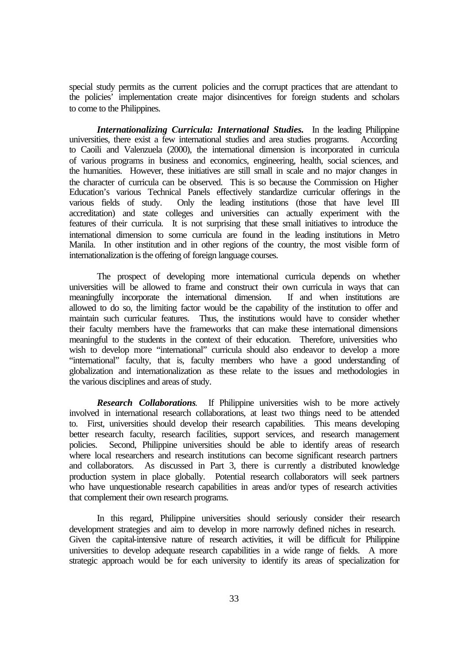special study permits as the current policies and the corrupt practices that are attendant to the policies' implementation create major disincentives for foreign students and scholars to come to the Philippines.

*Internationalizing Curricula: International Studies.* In the leading Philippine universities, there exist a few international studies and area studies programs. According to Caoili and Valenzuela (2000), the international dimension is incorporated in curricula of various programs in business and economics, engineering, health, social sciences, and the humanities. However, these initiatives are still small in scale and no major changes in the character of curricula can be observed. This is so because the Commission on Higher Education's various Technical Panels effectively standardize curricular offerings in the various fields of study. Only the leading institutions (those that have level III accreditation) and state colleges and universities can actually experiment with the features of their curricula. It is not surprising that these small initiatives to introduce the international dimension to some curricula are found in the leading institutions in Metro Manila. In other institution and in other regions of the country, the most visible form of internationalization is the offering of foreign language courses.

The prospect of developing more international curricula depends on whether universities will be allowed to frame and construct their own curricula in ways that can meaningfully incorporate the international dimension. If and when institutions are meaningfully incorporate the international dimension. allowed to do so, the limiting factor would be the capability of the institution to offer and maintain such curricular features. Thus, the institutions would have to consider whether their faculty members have the frameworks that can make these international dimensions meaningful to the students in the context of their education. Therefore, universities who wish to develop more "international" curricula should also endeavor to develop a more "international" faculty, that is, faculty members who have a good understanding of globalization and internationalization as these relate to the issues and methodologies in the various disciplines and areas of study.

*Research Collaborations*. If Philippine universities wish to be more actively involved in international research collaborations, at least two things need to be attended to. First, universities should develop their research capabilities. This means developing better research faculty, research facilities, support services, and research management policies. Second, Philippine universities should be able to identify areas of research where local researchers and research institutions can become significant research partners and collaborators. As discussed in Part 3, there is currently a distributed knowledge production system in place globally. Potential research collaborators will seek partners who have unquestionable research capabilities in areas and/or types of research activities that complement their own research programs.

In this regard, Philippine universities should seriously consider their research development strategies and aim to develop in more narrowly defined niches in research. Given the capital-intensive nature of research activities, it will be difficult for Philippine universities to develop adequate research capabilities in a wide range of fields. A more strategic approach would be for each university to identify its areas of specialization for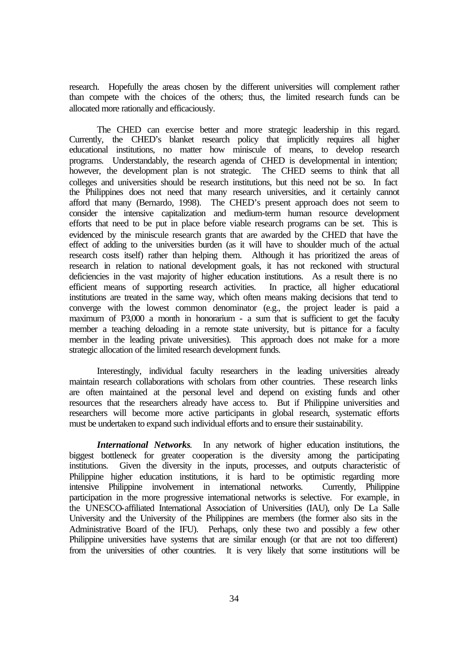research. Hopefully the areas chosen by the different universities will complement rather than compete with the choices of the others; thus, the limited research funds can be allocated more rationally and efficaciously.

The CHED can exercise better and more strategic leadership in this regard. Currently, the CHED's blanket research policy that implicitly requires all higher educational institutions, no matter how miniscule of means, to develop research programs. Understandably, the research agenda of CHED is developmental in intention; however, the development plan is not strategic. The CHED seems to think that all colleges and universities should be research institutions, but this need not be so. In fact the Philippines does not need that many research universities, and it certainly cannot afford that many (Bernardo, 1998). The CHED's present approach does not seem to consider the intensive capitalization and medium-term human resource development efforts that need to be put in place before viable research programs can be set. This is evidenced by the miniscule research grants that are awarded by the CHED that have the effect of adding to the universities burden (as it will have to shoulder much of the actual research costs itself) rather than helping them. Although it has prioritized the areas of research in relation to national development goals, it has not reckoned with structural deficiencies in the vast majority of higher education institutions. As a result there is no efficient means of supporting research activities. In practice, all higher educational efficient means of supporting research activities. institutions are treated in the same way, which often means making decisions that tend to converge with the lowest common denominator (e.g., the project leader is paid a maximum of P3,000 a month in honorarium - a sum that is sufficient to get the faculty member a teaching deloading in a remote state university, but is pittance for a faculty member in the leading private universities). This approach does not make for a more strategic allocation of the limited research development funds.

Interestingly, individual faculty researchers in the leading universities already maintain research collaborations with scholars from other countries. These research links are often maintained at the personal level and depend on existing funds and other resources that the researchers already have access to. But if Philippine universities and researchers will become more active participants in global research, systematic efforts must be undertaken to expand such individual efforts and to ensure their sustainability.

*International Networks*. In any network of higher education institutions, the biggest bottleneck for greater cooperation is the diversity among the participating institutions. Given the diversity in the inputs, processes, and outputs characteristic of Philippine higher education institutions, it is hard to be optimistic regarding more intensive Philippine involvement in international networks. Currently, Philippine intensive Philippine involvement in international networks. participation in the more progressive international networks is selective. For example, in the UNESCO-affiliated International Association of Universities (IAU), only De La Salle University and the University of the Philippines are members (the former also sits in the Administrative Board of the IFU). Perhaps, only these two and possibly a few other Philippine universities have systems that are similar enough (or that are not too different) from the universities of other countries. It is very likely that some institutions will be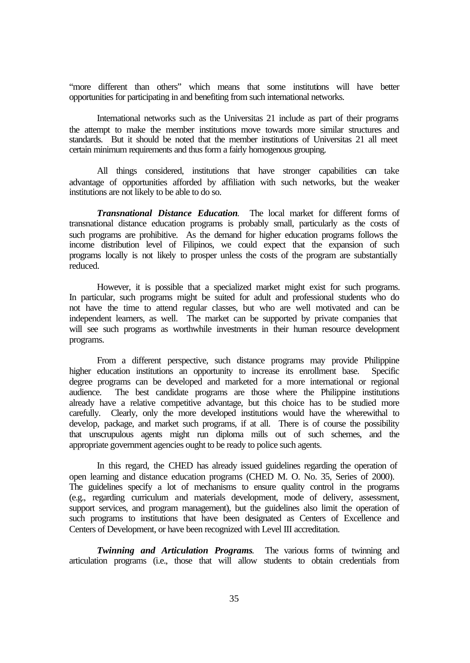"more different than others" which means that some institutions will have better opportunities for participating in and benefiting from such international networks.

International networks such as the Universitas 21 include as part of their programs the attempt to make the member institutions move towards more similar structures and standards. But it should be noted that the member institutions of Universitas 21 all meet certain minimum requirements and thus form a fairly homogenous grouping.

All things considered, institutions that have stronger capabilities can take advantage of opportunities afforded by affiliation with such networks, but the weaker institutions are not likely to be able to do so.

*Transnational Distance Education*. The local market for different forms of transnational distance education programs is probably small, particularly as the costs of such programs are prohibitive. As the demand for higher education programs follows the income distribution level of Filipinos, we could expect that the expansion of such programs locally is not likely to prosper unless the costs of the program are substantially reduced.

However, it is possible that a specialized market might exist for such programs. In particular, such programs might be suited for adult and professional students who do not have the time to attend regular classes, but who are well motivated and can be independent learners, as well. The market can be supported by private companies that will see such programs as worthwhile investments in their human resource development programs.

From a different perspective, such distance programs may provide Philippine higher education institutions an opportunity to increase its enrollment base. Specific degree programs can be developed and marketed for a more international or regional audience. The best candidate programs are those where the Philippine institutions already have a relative competitive advantage, but this choice has to be studied more carefully. Clearly, only the more developed institutions would have the wherewithal to develop, package, and market such programs, if at all. There is of course the possibility that unscrupulous agents might run diploma mills out of such schemes, and the appropriate government agencies ought to be ready to police such agents.

In this regard, the CHED has already issued guidelines regarding the operation of open learning and distance education programs (CHED M. O. No. 35, Series of 2000). The guidelines specify a lot of mechanisms to ensure quality control in the programs (e.g., regarding curriculum and materials development, mode of delivery, assessment, support services, and program management), but the guidelines also limit the operation of such programs to institutions that have been designated as Centers of Excellence and Centers of Development, or have been recognized with Level III accreditation.

*Twinning and Articulation Programs*. The various forms of twinning and articulation programs (i.e., those that will allow students to obtain credentials from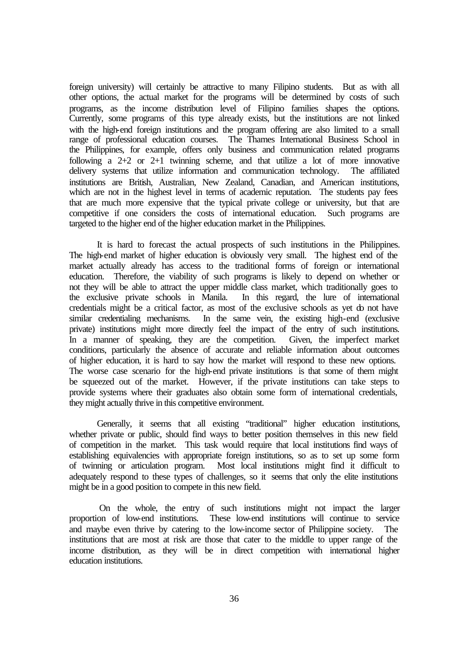foreign university) will certainly be attractive to many Filipino students. But as with all other options, the actual market for the programs will be determined by costs of such programs, as the income distribution level of Filipino families shapes the options. Currently, some programs of this type already exists, but the institutions are not linked with the high-end foreign institutions and the program offering are also limited to a small range of professional education courses. The Thames International Business School in the Philippines, for example, offers only business and communication related programs following a 2+2 or 2+1 twinning scheme, and that utilize a lot of more innovative delivery systems that utilize information and communication technology. The affiliated institutions are British, Australian, New Zealand, Canadian, and American institutions, which are not in the highest level in terms of academic reputation. The students pay fees that are much more expensive that the typical private college or university, but that are competitive if one considers the costs of international education. Such programs are targeted to the higher end of the higher education market in the Philippines.

It is hard to forecast the actual prospects of such institutions in the Philippines. The high-end market of higher education is obviously very small. The highest end of the market actually already has access to the traditional forms of foreign or international education. Therefore, the viability of such programs is likely to depend on whether or not they will be able to attract the upper middle class market, which traditionally goes to the exclusive private schools in Manila. In this regard, the lure of international In this regard, the lure of international credentials might be a critical factor, as most of the exclusive schools as yet do not have similar credentialing mechanisms. In the same vein, the existing high-end (exclusive private) institutions might more directly feel the impact of the entry of such institutions. In a manner of speaking, they are the competition. Given, the imperfect market conditions, particularly the absence of accurate and reliable information about outcomes of higher education, it is hard to say how the market will respond to these new options. The worse case scenario for the high-end private institutions is that some of them might be squeezed out of the market. However, if the private institutions can take steps to provide systems where their graduates also obtain some form of international credentials, they might actually thrive in this competitive environment.

Generally, it seems that all existing "traditional" higher education institutions, whether private or public, should find ways to better position themselves in this new field of competition in the market. This task would require that local institutions find ways of establishing equivalencies with appropriate foreign institutions, so as to set up some form of twinning or articulation program. Most local institutions might find it difficult to adequately respond to these types of challenges, so it seems that only the elite institutions might be in a good position to compete in this new field.

 On the whole, the entry of such institutions might not impact the larger proportion of low-end institutions. These low-end institutions will continue to service and maybe even thrive by catering to the low-income sector of Philippine society. The institutions that are most at risk are those that cater to the middle to upper range of the income distribution, as they will be in direct competition with international higher education institutions.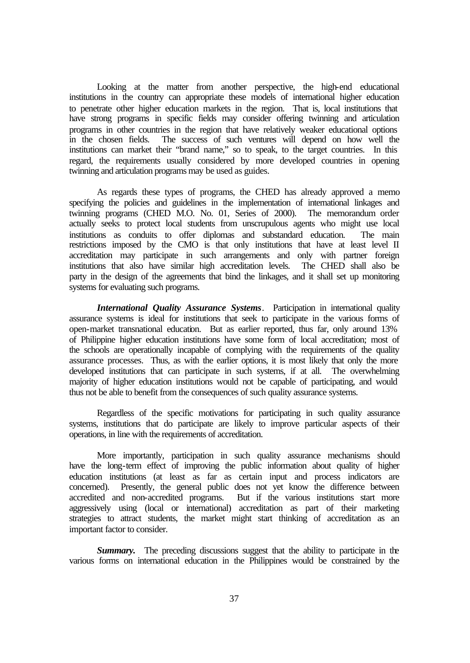Looking at the matter from another perspective, the high-end educational institutions in the country can appropriate these models of international higher education to penetrate other higher education markets in the region. That is, local institutions that have strong programs in specific fields may consider offering twinning and articulation programs in other countries in the region that have relatively weaker educational options in the chosen fields. The success of such ventures will depend on how well the institutions can market their "brand name," so to speak, to the target countries. In this regard, the requirements usually considered by more developed countries in opening twinning and articulation programs may be used as guides.

As regards these types of programs, the CHED has already approved a memo specifying the policies and guidelines in the implementation of international linkages and twinning programs (CHED M.O. No. 01, Series of 2000). The memorandum order actually seeks to protect local students from unscrupulous agents who might use local institutions as conduits to offer diplomas and substandard education. The main restrictions imposed by the CMO is that only institutions that have at least level II accreditation may participate in such arrangements and only with partner foreign institutions that also have similar high accreditation levels. The CHED shall also be party in the design of the agreements that bind the linkages, and it shall set up monitoring systems for evaluating such programs.

*International Quality Assurance Systems*. Participation in international quality assurance systems is ideal for institutions that seek to participate in the various forms of open-market transnational education. But as earlier reported, thus far, only around 13% of Philippine higher education institutions have some form of local accreditation; most of the schools are operationally incapable of complying with the requirements of the quality assurance processes. Thus, as with the earlier options, it is most likely that only the more developed institutions that can participate in such systems, if at all. The overwhelming majority of higher education institutions would not be capable of participating, and would thus not be able to benefit from the consequences of such quality assurance systems.

Regardless of the specific motivations for participating in such quality assurance systems, institutions that do participate are likely to improve particular aspects of their operations, in line with the requirements of accreditation.

More importantly, participation in such quality assurance mechanisms should have the long-term effect of improving the public information about quality of higher education institutions (at least as far as certain input and process indicators are concerned). Presently, the general public does not yet know the difference between accredited and non-accredited programs. But if the various institutions start more aggressively using (local or international) accreditation as part of their marketing strategies to attract students, the market might start thinking of accreditation as an important factor to consider.

**Summary.** The preceding discussions suggest that the ability to participate in the various forms on international education in the Philippines would be constrained by the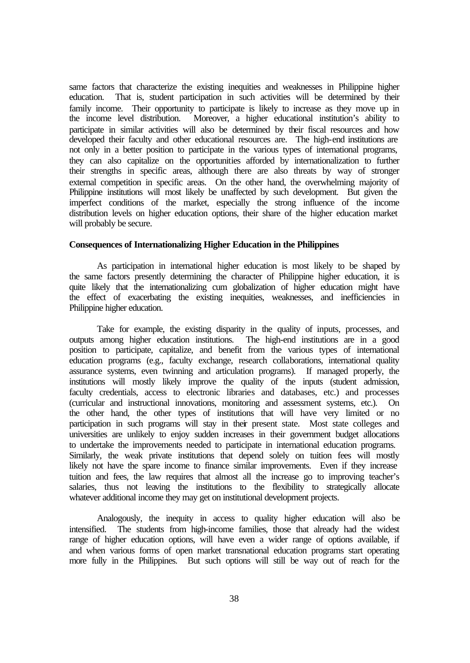same factors that characterize the existing inequities and weaknesses in Philippine higher education. That is, student participation in such activities will be determined by their family income. Their opportunity to participate is likely to increase as they move up in the income level distribution. Moreover, a higher educational institution's ability to Moreover, a higher educational institution's ability to participate in similar activities will also be determined by their fiscal resources and how developed their faculty and other educational resources are. The high-end institutions are not only in a better position to participate in the various types of international programs, they can also capitalize on the opportunities afforded by internationalization to further their strengths in specific areas, although there are also threats by way of stronger external competition in specific areas. On the other hand, the overwhelming majority of Philippine institutions will most likely be unaffected by such development. But given the imperfect conditions of the market, especially the strong influence of the income distribution levels on higher education options, their share of the higher education market will probably be secure.

### **Consequences of Internationalizing Higher Education in the Philippines**

As participation in international higher education is most likely to be shaped by the same factors presently determining the character of Philippine higher education, it is quite likely that the internationalizing cum globalization of higher education might have the effect of exacerbating the existing inequities, weaknesses, and inefficiencies in Philippine higher education.

Take for example, the existing disparity in the quality of inputs, processes, and outputs among higher education institutions. The high-end institutions are in a good position to participate, capitalize, and benefit from the various types of international education programs (e.g., faculty exchange, research collaborations, international quality assurance systems, even twinning and articulation programs). If managed properly, the institutions will mostly likely improve the quality of the inputs (student admission, faculty credentials, access to electronic libraries and databases, etc.) and processes (curricular and instructional innovations, monitoring and assessment systems, etc.). On the other hand, the other types of institutions that will have very limited or no participation in such programs will stay in their present state. Most state colleges and universities are unlikely to enjoy sudden increases in their government budget allocations to undertake the improvements needed to participate in international education programs. Similarly, the weak private institutions that depend solely on tuition fees will mostly likely not have the spare income to finance similar improvements. Even if they increase tuition and fees, the law requires that almost all the increase go to improving teacher's salaries, thus not leaving the institutions to the flexibility to strategically allocate whatever additional income they may get on institutional development projects.

Analogously, the inequity in access to quality higher education will also be intensified. The students from high-income families, those that already had the widest range of higher education options, will have even a wider range of options available, if and when various forms of open market transnational education programs start operating more fully in the Philippines. But such options will still be way out of reach for the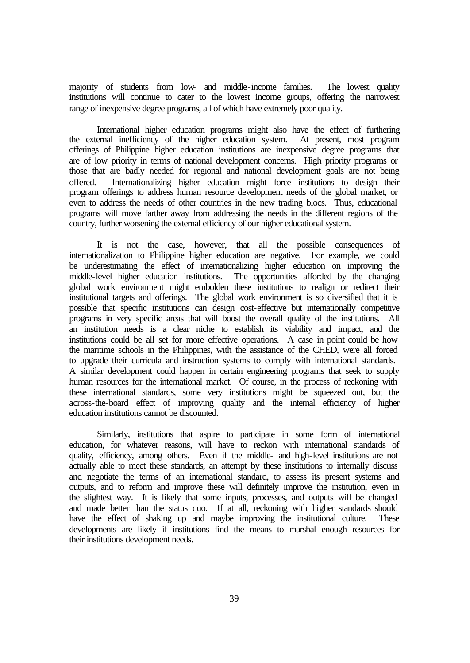majority of students from low- and middle-income families. The lowest quality institutions will continue to cater to the lowest income groups, offering the narrowest range of inexpensive degree programs, all of which have extremely poor quality.

International higher education programs might also have the effect of furthering the external inefficiency of the higher education system. At present, most program offerings of Philippine higher education institutions are inexpensive degree programs that are of low priority in terms of national development concerns. High priority programs or those that are badly needed for regional and national development goals are not being offered. Internationalizing higher education might force institutions to design their program offerings to address human resource development needs of the global market, or even to address the needs of other countries in the new trading blocs. Thus, educational programs will move farther away from addressing the needs in the different regions of the country, further worsening the external efficiency of our higher educational system.

It is not the case, however, that all the possible consequences of internationalization to Philippine higher education are negative. For example, we could be underestimating the effect of internationalizing higher education on improving the middle-level higher education institutions. The opportunities afforded by the changing global work environment might embolden these institutions to realign or redirect their institutional targets and offerings. The global work environment is so diversified that it is possible that specific institutions can design cost-effective but internationally competitive programs in very specific areas that will boost the overall quality of the institutions. All an institution needs is a clear niche to establish its viability and impact, and the institutions could be all set for more effective operations. A case in point could be how the maritime schools in the Philippines, with the assistance of the CHED, were all forced to upgrade their curricula and instruction systems to comply with international standards. A similar development could happen in certain engineering programs that seek to supply human resources for the international market. Of course, in the process of reckoning with these international standards, some very institutions might be squeezed out, but the across-the-board effect of improving quality and the internal efficiency of higher education institutions cannot be discounted.

Similarly, institutions that aspire to participate in some form of international education, for whatever reasons, will have to reckon with international standards of quality, efficiency, among others. Even if the middle- and high-level institutions are not actually able to meet these standards, an attempt by these institutions to internally discuss and negotiate the terms of an international standard, to assess its present systems and outputs, and to reform and improve these will definitely improve the institution, even in the slightest way. It is likely that some inputs, processes, and outputs will be changed and made better than the status quo. If at all, reckoning with higher standards should have the effect of shaking up and maybe improving the institutional culture. These developments are likely if institutions find the means to marshal enough resources for their institutions development needs.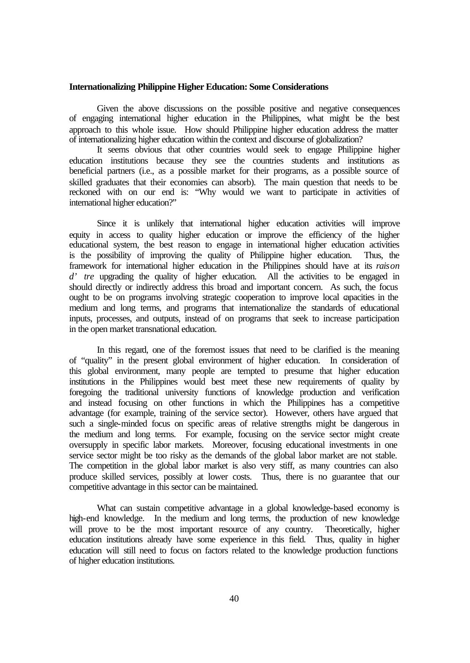#### **Internationalizing Philippine Higher Education: Some Considerations**

Given the above discussions on the possible positive and negative consequences of engaging international higher education in the Philippines, what might be the best approach to this whole issue. How should Philippine higher education address the matter of internationalizing higher education within the context and discourse of globalization?

It seems obvious that other countries would seek to engage Philippine higher education institutions because they see the countries students and institutions as beneficial partners (i.e., as a possible market for their programs, as a possible source of skilled graduates that their economies can absorb). The main question that needs to be reckoned with on our end is: "Why would we want to participate in activities of international higher education?"

Since it is unlikely that international higher education activities will improve equity in access to quality higher education or improve the efficiency of the higher educational system, the best reason to engage in international higher education activities is the possibility of improving the quality of Philippine higher education. Thus, the framework for international higher education in the Philippines should have at its *raison d'* tre upgrading the quality of higher education. All the activities to be engaged in should directly or indirectly address this broad and important concern. As such, the focus ought to be on programs involving strategic cooperation to improve local capacities in the medium and long terms, and programs that internationalize the standards of educational inputs, processes, and outputs, instead of on programs that seek to increase participation in the open market transnational education.

In this regard, one of the foremost issues that need to be clarified is the meaning of "quality" in the present global environment of higher education. In consideration of this global environment, many people are tempted to presume that higher education institutions in the Philippines would best meet these new requirements of quality by foregoing the traditional university functions of knowledge production and verification and instead focusing on other functions in which the Philippines has a competitive advantage (for example, training of the service sector). However, others have argued that such a single-minded focus on specific areas of relative strengths might be dangerous in the medium and long terms. For example, focusing on the service sector might create oversupply in specific labor markets. Moreover, focusing educational investments in one service sector might be too risky as the demands of the global labor market are not stable. The competition in the global labor market is also very stiff, as many countries can also produce skilled services, possibly at lower costs. Thus, there is no guarantee that our competitive advantage in this sector can be maintained.

What can sustain competitive advantage in a global knowledge-based economy is high-end knowledge. In the medium and long terms, the production of new knowledge will prove to be the most important resource of any country. Theoretically, higher education institutions already have some experience in this field. Thus, quality in higher education will still need to focus on factors related to the knowledge production functions of higher education institutions.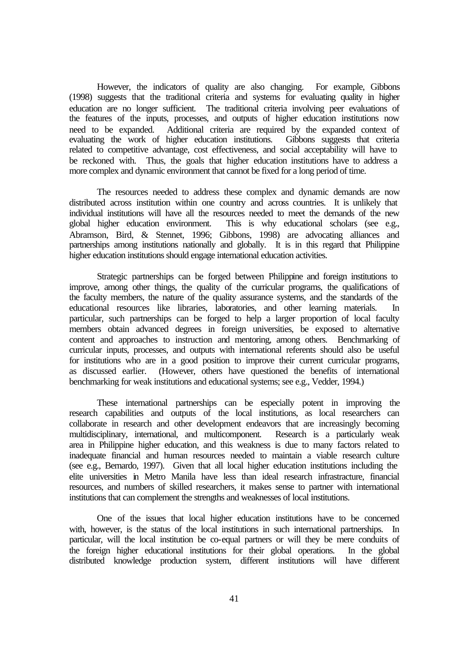However, the indicators of quality are also changing. For example, Gibbons (1998) suggests that the traditional criteria and systems for evaluating quality in higher education are no longer sufficient. The traditional criteria involving peer evaluations of the features of the inputs, processes, and outputs of higher education institutions now need to be expanded. Additional criteria are required by the expanded context of evaluating the work of higher education institutions. Gibbons suggests that criteria related to competitive advantage, cost effectiveness, and social acceptability will have to be reckoned with. Thus, the goals that higher education institutions have to address a more complex and dynamic environment that cannot be fixed for a long period of time.

The resources needed to address these complex and dynamic demands are now distributed across institution within one country and across countries. It is unlikely that individual institutions will have all the resources needed to meet the demands of the new global higher education environment. This is why educational scholars (see e.g., Abramson, Bird, & Stennet, 1996; Gibbons, 1998) are advocating alliances and partnerships among institutions nationally and globally. It is in this regard that Philippine higher education institutions should engage international education activities.

Strategic partnerships can be forged between Philippine and foreign institutions to improve, among other things, the quality of the curricular programs, the qualifications of the faculty members, the nature of the quality assurance systems, and the standards of the educational resources like libraries, laboratories, and other learning materials. In particular, such partnerships can be forged to help a larger proportion of local faculty members obtain advanced degrees in foreign universities, be exposed to alternative content and approaches to instruction and mentoring, among others. Benchmarking of curricular inputs, processes, and outputs with international referents should also be useful for institutions who are in a good position to improve their current curricular programs, as discussed earlier. (However, others have questioned the benefits of international benchmarking for weak institutions and educational systems; see e.g., Vedder, 1994.)

These international partnerships can be especially potent in improving the research capabilities and outputs of the local institutions, as local researchers can collaborate in research and other development endeavors that are increasingly becoming multidisciplinary, international, and multicomponent. Research is a particularly weak area in Philippine higher education, and this weakness is due to many factors related to inadequate financial and human resources needed to maintain a viable research culture (see e.g., Bernardo, 1997). Given that all local higher education institutions including the elite universities in Metro Manila have less than ideal research infrastracture, financial resources, and numbers of skilled researchers, it makes sense to partner with international institutions that can complement the strengths and weaknesses of local institutions.

One of the issues that local higher education institutions have to be concerned with, however, is the status of the local institutions in such international partnerships. In particular, will the local institution be co-equal partners or will they be mere conduits of the foreign higher educational institutions for their global operations. In the global distributed knowledge production system, different institutions will have different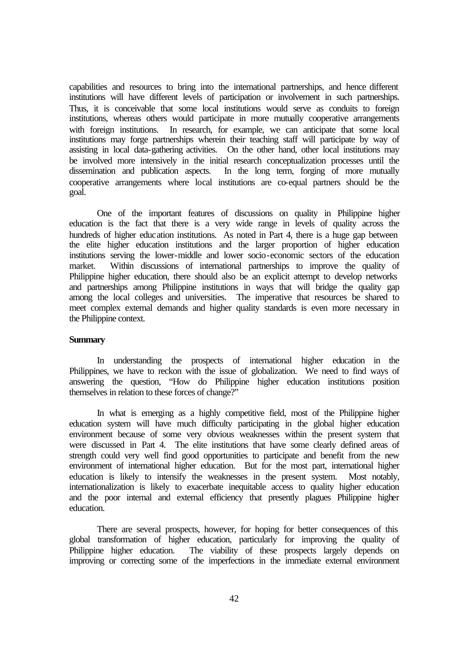capabilities and resources to bring into the international partnerships, and hence different institutions will have different levels of participation or involvement in such partnerships. Thus, it is conceivable that some local institutions would serve as conduits to foreign institutions, whereas others would participate in more mutually cooperative arrangements with foreign institutions. In research, for example, we can anticipate that some local institutions may forge partnerships wherein their teaching staff will participate by way of assisting in local data-gathering activities. On the other hand, other local institutions may be involved more intensively in the initial research conceptualization processes until the dissemination and publication aspects. In the long term, forging of more mutually cooperative arrangements where local institutions are co-equal partners should be the goal.

One of the important features of discussions on quality in Philippine higher education is the fact that there is a very wide range in levels of quality across the hundreds of higher education institutions. As noted in Part 4, there is a huge gap between the elite higher education institutions and the larger proportion of higher education institutions serving the lower-middle and lower socio-economic sectors of the education market. Within discussions of international partnerships to improve the quality of Philippine higher education, there should also be an explicit attempt to develop networks and partnerships among Philippine institutions in ways that will bridge the quality gap among the local colleges and universities. The imperative that resources be shared to meet complex external demands and higher quality standards is even more necessary in the Philippine context.

#### **Summary**

In understanding the prospects of international higher education in the Philippines, we have to reckon with the issue of globalization. We need to find ways of answering the question, "How do Philippine higher education institutions position themselves in relation to these forces of change?"

In what is emerging as a highly competitive field, most of the Philippine higher education system will have much difficulty participating in the global higher education environment because of some very obvious weaknesses within the present system that were discussed in Part 4. The elite institutions that have some clearly defined areas of strength could very well find good opportunities to participate and benefit from the new environment of international higher education. But for the most part, international higher education is likely to intensify the weaknesses in the present system. Most notably, internationalization is likely to exacerbate inequitable access to quality higher education and the poor internal and external efficiency that presently plagues Philippine higher education.

There are several prospects, however, for hoping for better consequences of this global transformation of higher education, particularly for improving the quality of Philippine higher education. The viability of these prospects largely depends on improving or correcting some of the imperfections in the immediate external environment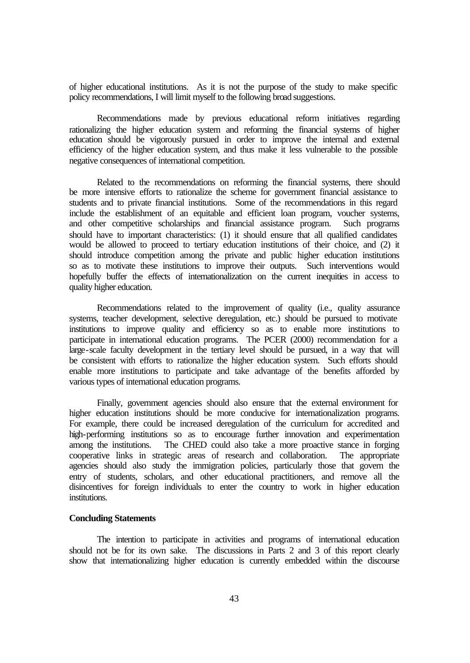of higher educational institutions. As it is not the purpose of the study to make specific policy recommendations, I will limit myself to the following broad suggestions.

Recommendations made by previous educational reform initiatives regarding rationalizing the higher education system and reforming the financial systems of higher education should be vigorously pursued in order to improve the internal and external efficiency of the higher education system, and thus make it less vulnerable to the possible negative consequences of international competition.

Related to the recommendations on reforming the financial systems, there should be more intensive efforts to rationalize the scheme for government financial assistance to students and to private financial institutions. Some of the recommendations in this regard include the establishment of an equitable and efficient loan program, voucher systems, and other competitive scholarships and financial assistance program. Such programs should have to important characteristics: (1) it should ensure that all qualified candidates would be allowed to proceed to tertiary education institutions of their choice, and (2) it should introduce competition among the private and public higher education institutions so as to motivate these institutions to improve their outputs. Such interventions would hopefully buffer the effects of internationalization on the current inequities in access to quality higher education.

Recommendations related to the improvement of quality (i.e., quality assurance systems, teacher development, selective deregulation, etc.) should be pursued to motivate institutions to improve quality and efficiency so as to enable more institutions to participate in international education programs. The PCER (2000) recommendation for a large-scale faculty development in the tertiary level should be pursued, in a way that will be consistent with efforts to rationalize the higher education system. Such efforts should enable more institutions to participate and take advantage of the benefits afforded by various types of international education programs.

Finally, government agencies should also ensure that the external environment for higher education institutions should be more conducive for internationalization programs. For example, there could be increased deregulation of the curriculum for accredited and high-performing institutions so as to encourage further innovation and experimentation among the institutions. The CHED could also take a more proactive stance in forging cooperative links in strategic areas of research and collaboration. The appropriate agencies should also study the immigration policies, particularly those that govern the entry of students, scholars, and other educational practitioners, and remove all the disincentives for foreign individuals to enter the country to work in higher education institutions.

### **Concluding Statements**

The intention to participate in activities and programs of international education should not be for its own sake. The discussions in Parts 2 and 3 of this report clearly show that internationalizing higher education is currently embedded within the discourse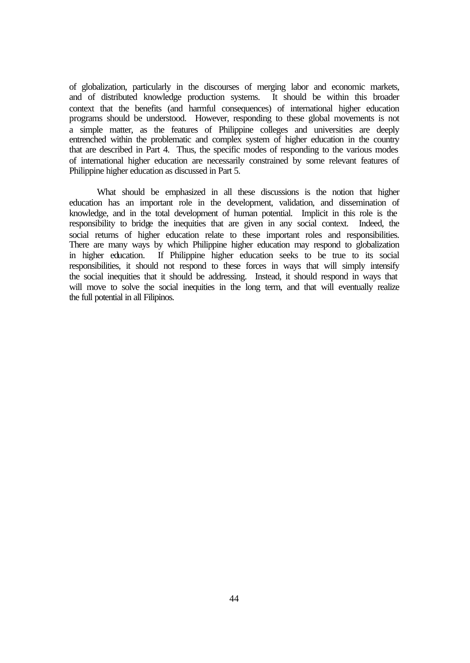of globalization, particularly in the discourses of merging labor and economic markets, and of distributed knowledge production systems. It should be within this broader context that the benefits (and harmful consequences) of international higher education programs should be understood. However, responding to these global movements is not a simple matter, as the features of Philippine colleges and universities are deeply entrenched within the problematic and complex system of higher education in the country that are described in Part 4. Thus, the specific modes of responding to the various modes of international higher education are necessarily constrained by some relevant features of Philippine higher education as discussed in Part 5.

What should be emphasized in all these discussions is the notion that higher education has an important role in the development, validation, and dissemination of knowledge, and in the total development of human potential. Implicit in this role is the responsibility to bridge the inequities that are given in any social context. Indeed, the social returns of higher education relate to these important roles and responsibilities. There are many ways by which Philippine higher education may respond to globalization in higher education. If Philippine higher education seeks to be true to its social responsibilities, it should not respond to these forces in ways that will simply intensify the social inequities that it should be addressing. Instead, it should respond in ways that will move to solve the social inequities in the long term, and that will eventually realize the full potential in all Filipinos.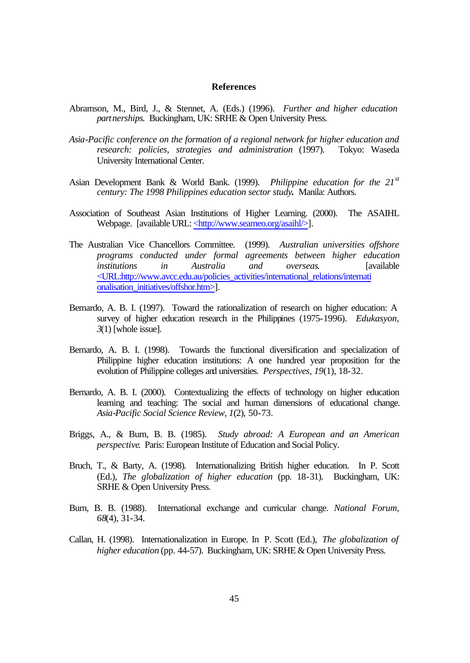### **References**

- Abramson, M., Bird, J., & Stennet, A. (Eds.) (1996). *Further and higher education partnerships*. Buckingham, UK: SRHE & Open University Press.
- *Asia-Pacific conference on the formation of a regional network for higher education and research: policies, strategies and administration* (1997). Tokyo: Waseda University International Center.
- Asian Development Bank & World Bank. (1999). *Philippine education for the 21st century: The 1998 Philippines education sector study***.** Manila: Authors.
- Association of Southeast Asian Institutions of Higher Learning. (2000). The ASAIHL Webpage. [available URL: <http://www.seameo.org/asaihl/>].
- The Australian Vice Chancellors Committee. (1999). *Australian universities offshore programs conducted under formal agreements between higher education institutions in Australia and overseas*. [available <URL:http://www.avcc.edu.au/policies\_activities/international\_relations/internati onalisation\_initiatives/offshor.htm>].
- Bernardo, A. B. I. (1997). Toward the rationalization of research on higher education: A survey of higher education research in the Philippines (1975-1996). *Edukasyon, 3*(1) [whole issue].
- Bernardo, A. B. I. (1998). Towards the functional diversification and specialization of Philippine higher education institutions: A one hundred year proposition for the evolution of Philippine colleges and universities. *Perspectives, 19*(1), 18-32.
- Bernardo, A. B. I. (2000). Contextualizing the effects of technology on higher education learning and teaching: The social and human dimensions of educational change. *Asia-Pacific Social Science Review, 1*(2), 50-73.
- Briggs, A., & Burn, B. B. (1985). *Study abroad: A European and an American perspective*. Paris: European Institute of Education and Social Policy.
- Bruch, T., & Barty, A. (1998). Internationalizing British higher education. In P. Scott (Ed.), *The globalization of higher education* (pp. 18-31). Buckingham, UK: SRHE & Open University Press.
- Burn, B. B. (1988). International exchange and curricular change. *National Forum, 68*(4), 31-34.
- Callan, H. (1998). Internationalization in Europe. In P. Scott (Ed.), *The globalization of higher education* (pp. 44-57). Buckingham, UK: SRHE & Open University Press.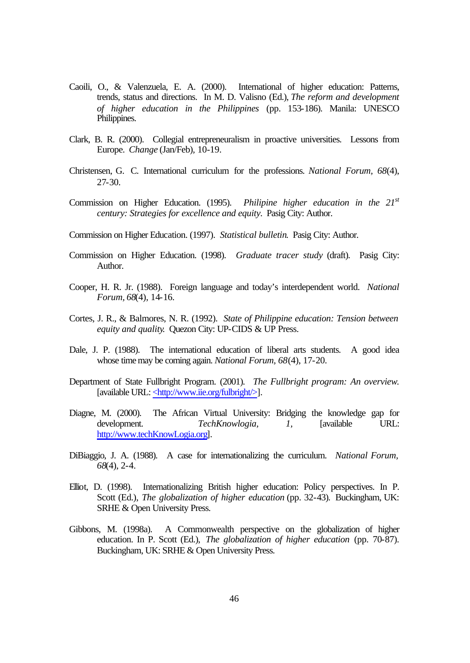- Caoili, O., & Valenzuela, E. A. (2000). International of higher education: Patterns, trends, status and directions. In M. D. Valisno (Ed.), *The reform and development of higher education in the Philippines* (pp. 153-186). Manila: UNESCO Philippines.
- Clark, B. R. (2000). Collegial entrepreneuralism in proactive universities. Lessons from Europe. *Change* (Jan/Feb)*,* 10-19.
- Christensen, G. C. International curriculum for the professions. *National Forum, 68*(4), 27-30.
- Commission on Higher Education. (1995). *Philipine higher education in the 21st century: Strategies for excellence and equity.* Pasig City: Author.
- Commission on Higher Education. (1997). *Statistical bulletin*. Pasig City: Author.
- Commission on Higher Education. (1998). *Graduate tracer study* (draft). Pasig City: Author.
- Cooper, H. R. Jr. (1988). Foreign language and today's interdependent world. *National Forum, 68*(4), 14-16.
- Cortes, J. R., & Balmores, N. R. (1992). *State of Philippine education: Tension between equity and quality*. Quezon City: UP-CIDS & UP Press.
- Dale, J. P. (1988). The international education of liberal arts students. A good idea whose time may be coming again. *National Forum, 68*(4), 17-20.
- Department of State Fullbright Program. (2001). *The Fullbright program: An overview*. [available URL: <http://www.iie.org/fulbright/>].
- Diagne, M. (2000). The African Virtual University: Bridging the knowledge gap for development. *TechKnowlogia, 1,* [available URL: http://www.techKnowLogia.org].
- DiBiaggio, J. A. (1988). A case for internationalizing the curriculum. *National Forum, 68*(4), 2-4.
- Elliot, D. (1998). Internationalizing British higher education: Policy perspectives. In P. Scott (Ed.), *The globalization of higher education* (pp. 32-43). Buckingham, UK: SRHE & Open University Press.
- Gibbons, M. (1998a). A Commonwealth perspective on the globalization of higher education. In P. Scott (Ed.), *The globalization of higher education* (pp. 70-87). Buckingham, UK: SRHE & Open University Press.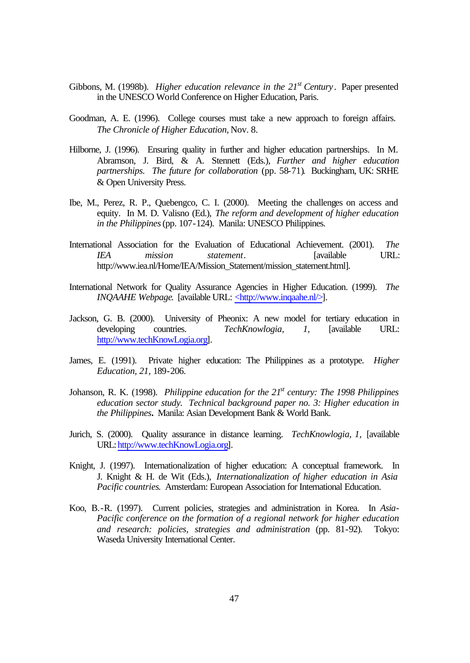- Gibbons, M. (1998b). *Higher education relevance in the 21st Century*. Paper presented in the UNESCO World Conference on Higher Education, Paris.
- Goodman, A. E. (1996). College courses must take a new approach to foreign affairs. *The Chronicle of Higher Education,* Nov. 8.
- Hilborne, J. (1996). Ensuring quality in further and higher education partnerships. In M. Abramson, J. Bird, & A. Stennett (Eds.), *Further and higher education partnerships. The future for collaboration* (pp. 58-71)*.* Buckingham, UK: SRHE & Open University Press.
- Ibe, M., Perez, R. P., Quebengco, C. I. (2000). Meeting the challenges on access and equity. In M. D. Valisno (Ed.), *The reform and development of higher education in the Philippines* (pp. 107-124). Manila: UNESCO Philippines.
- International Association for the Evaluation of Educational Achievement. (2001). *The IEA mission statement*. [available URL: http://www.iea.nl/Home/IEA/Mission\_Statement/mission\_statement.html].
- International Network for Quality Assurance Agencies in Higher Education. (1999). *The INQAAHE Webpage*. [available URL: <http://www.inqaahe.nl/>].
- Jackson, G. B. (2000). University of Pheonix: A new model for tertiary education in developing countries. *TechKnowlogia, 1,* [available URL: http://www.techKnowLogia.org].
- James, E. (1991). Private higher education: The Philippines as a prototype. *Higher Education, 21,* 189-206.
- Johanson, R. K. (1998). *Philippine education for the 21st century: The 1998 Philippines education sector study. Technical background paper no. 3: Higher education in the Philippines***.** Manila: Asian Development Bank & World Bank.
- Jurich, S. (2000). Quality assurance in distance learning. *TechKnowlogia, 1,* [available URL: http://www.techKnowLogia.org].
- Knight, J. (1997). Internationalization of higher education: A conceptual framework. In J. Knight & H. de Wit (Eds.), *Internationalization of higher education in Asia Pacific countries*. Amsterdam: European Association for International Education.
- Koo, B.-R. (1997). Current policies, strategies and administration in Korea. In *Asia-Pacific conference on the formation of a regional network for higher education and research: policies, strategies and administration* (pp. 81-92). Tokyo: Waseda University International Center.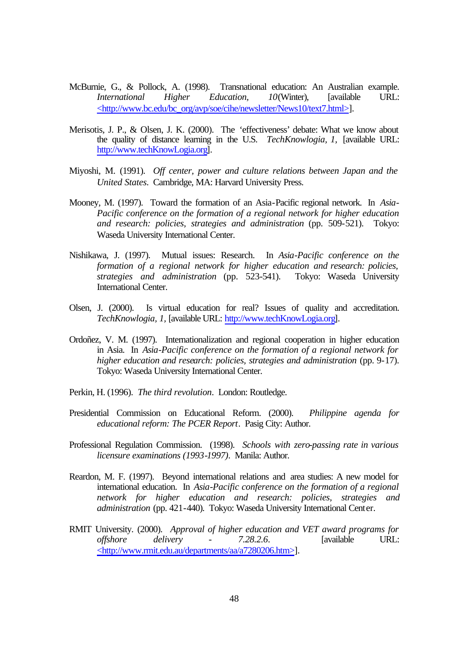- McBurnie, G., & Pollock, A. (1998). Transnational education: An Australian example. *International Higher Education, 10*(Winter), [available URL: <http://www.bc.edu/bc\_org/avp/soe/cihe/newsletter/News10/text7.html>].
- Merisotis, J. P., & Olsen, J. K. (2000). The 'effectiveness' debate: What we know about the quality of distance learning in the U.S. *TechKnowlogia, 1,* [available URL: http://www.techKnowLogia.org].
- Miyoshi, M. (1991). *Off center, power and culture relations between Japan and the United States.* Cambridge, MA: Harvard University Press.
- Mooney, M. (1997). Toward the formation of an Asia-Pacific regional network. In *Asia-Pacific conference on the formation of a regional network for higher education and research: policies, strategies and administration* (pp. 509-521). Tokyo: Waseda University International Center.
- Nishikawa, J. (1997). Mutual issues: Research. In *Asia-Pacific conference on the formation of a regional network for higher education and research: policies, strategies and administration* (pp. 523-541). Tokyo: Waseda University International Center.
- Olsen, J. (2000). Is virtual education for real? Issues of quality and accreditation. *TechKnowlogia, 1,* [available URL: http://www.techKnowLogia.org].
- Ordoñez, V. M. (1997). Internationalization and regional cooperation in higher education in Asia. In *Asia-Pacific conference on the formation of a regional network for higher education and research: policies, strategies and administration* (pp. 9-17). Tokyo: Waseda University International Center.
- Perkin, H. (1996). *The third revolution*. London: Routledge.
- Presidential Commission on Educational Reform. (2000). *Philippine agenda for educational reform: The PCER Report*. Pasig City: Author.
- Professional Regulation Commission. (1998). *Schools with zero-passing rate in various licensure examinations (1993-1997)*. Manila: Author.
- Reardon, M. F. (1997). Beyond international relations and area studies: A new model for international education. In *Asia-Pacific conference on the formation of a regional network for higher education and research: policies, strategies and administration* (pp. 421-440). Tokyo: Waseda University International Center.
- RMIT University. (2000). *Approval of higher education and VET award programs for offshore delivery - 7.28.2.6*. [available URL: <http://www.rmit.edu.au/departments/aa/a7280206.htm>].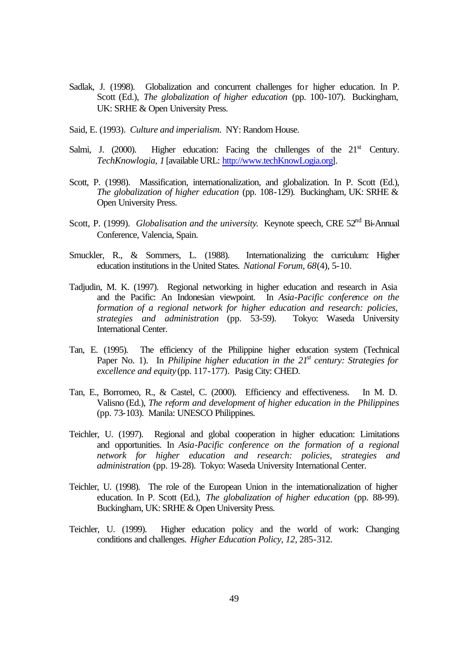- Sadlak, J. (1998). Globalization and concurrent challenges for higher education. In P. Scott (Ed.), *The globalization of higher education* (pp. 100-107). Buckingham, UK: SRHE & Open University Press.
- Said, E. (1993). *Culture and imperialism*. NY: Random House.
- Salmi, J. (2000). Higher education: Facing the challenges of the  $21<sup>st</sup>$  Century. *TechKnowlogia, 1* [available URL: http://www.techKnowLogia.org].
- Scott, P. (1998). Massification, internationalization, and globalization. In P. Scott (Ed.), *The globalization of higher education* (pp. 108-129). Buckingham, UK: SRHE & Open University Press.
- Scott, P. (1999). *Globalisation and the university*. Keynote speech, CRE 52<sup>nd</sup> Bi-Annual Conference, Valencia, Spain.
- Smuckler, R., & Sommers, L. (1988). Internationalizing the curriculum: Higher education institutions in the United States. *National Forum, 68*(4), 5-10.
- Tadjudin, M. K. (1997). Regional networking in higher education and research in Asia and the Pacific: An Indonesian viewpoint. In *Asia-Pacific conference on the formation of a regional network for higher education and research: policies, strategies and administration* (pp. 53-59). Tokyo: Waseda University International Center.
- Tan, E. (1995). The efficiency of the Philippine higher education system (Technical Paper No. 1). In *Philipine higher education in the 21st century: Strategies for excellence and equity* (pp. 117-177)*.* Pasig City: CHED.
- Tan, E., Borromeo, R., & Castel, C. (2000). Efficiency and effectiveness. In M. D. Valisno (Ed.), *The reform and development of higher education in the Philippines* (pp. 73-103). Manila: UNESCO Philippines.
- Teichler, U. (1997). Regional and global cooperation in higher education: Limitations and opportunities. In *Asia-Pacific conference on the formation of a regional network for higher education and research: policies, strategies and administration* (pp. 19-28). Tokyo: Waseda University International Center.
- Teichler, U. (1998). The role of the European Union in the internationalization of higher education. In P. Scott (Ed.), *The globalization of higher education* (pp. 88-99). Buckingham, UK: SRHE & Open University Press.
- Teichler, U. (1999). Higher education policy and the world of work: Changing conditions and challenges. *Higher Education Policy, 12*, 285-312.